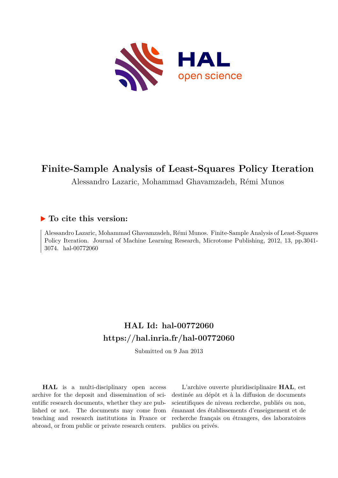

# **Finite-Sample Analysis of Least-Squares Policy Iteration**

Alessandro Lazaric, Mohammad Ghavamzadeh, Rémi Munos

## **To cite this version:**

Alessandro Lazaric, Mohammad Ghavamzadeh, Rémi Munos. Finite-Sample Analysis of Least-Squares Policy Iteration. Journal of Machine Learning Research, Microtome Publishing, 2012, 13, pp.3041- 3074. hal-00772060

## **HAL Id: hal-00772060 <https://hal.inria.fr/hal-00772060>**

Submitted on 9 Jan 2013

**HAL** is a multi-disciplinary open access archive for the deposit and dissemination of scientific research documents, whether they are published or not. The documents may come from teaching and research institutions in France or abroad, or from public or private research centers.

L'archive ouverte pluridisciplinaire **HAL**, est destinée au dépôt et à la diffusion de documents scientifiques de niveau recherche, publiés ou non, émanant des établissements d'enseignement et de recherche français ou étrangers, des laboratoires publics ou privés.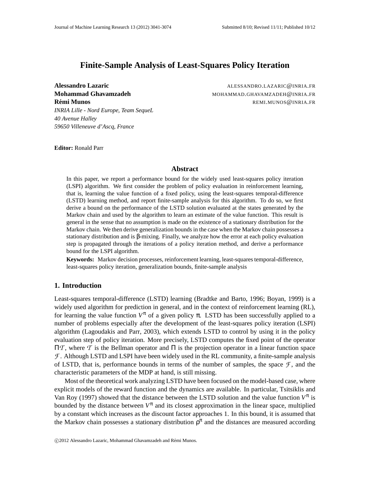## **Finite-Sample Analysis of Least-Squares Policy Iteration**

*INRIA Lille - Nord Europe, Team SequeL 40 Avenue Halley 59650 Villeneuve d'Ascq, France*

**Alessandro Lazaric** ALESSANDRO.LAZARIC@INRIA.FR **Mohammad Ghavamzadeh** MOHAMMAD.GHAVAMZADEH@INRIA.FR **Remi Munos ´** REMI.MUNOS@INRIA.FR

**Editor:** Ronald Parr

#### **Abstract**

In this paper, we report a performance bound for the widely used least-squares policy iteration (LSPI) algorithm. We first consider the problem of policy evaluation in reinforcement learning, that is, learning the value function of a fixed policy, using the least-squares temporal-difference (LSTD) learning method, and report finite-sample analysis for this algorithm. To do so, we first derive a bound on the performance of the LSTD solution evaluated at the states generated by the Markov chain and used by the algorithm to learn an estimate of the value function. This result is general in the sense that no assumption is made on the existence of a stationary distribution for the Markov chain. We then derive generalization bounds in the case when the Markov chain possesses a stationary distribution and is β-mixing. Finally, we analyze how the error at each policy evaluation step is propagated through the iterations of a policy iteration method, and derive a performance bound for the LSPI algorithm.

**Keywords:** Markov decision processes, reinforcement learning, least-squares temporal-difference, least-squares policy iteration, generalization bounds, finite-sample analysis

## **1. Introduction**

Least-squares temporal-difference (LSTD) learning (Bradtke and Barto, 1996; Boyan, 1999) is a widely used algorithm for prediction in general, and in the context of reinforcement learning (RL), for learning the value function  $V^{\pi}$  of a given policy  $\pi$ . LSTD has been successfully applied to a number of problems especially after the development of the least-squares policy iteration (LSPI) algorithm (Lagoudakis and Parr, 2003), which extends LSTD to control by using it in the policy evaluation step of policy iteration. More precisely, LSTD computes the fixed point of the operator Π*T* , where *T* is the Bellman operator and Π is the projection operator in a linear function space  $\mathcal F$ . Although LSTD and LSPI have been widely used in the RL community, a finite-sample analysis of LSTD, that is, performance bounds in terms of the number of samples, the space  $\mathcal{F}$ , and the characteristic parameters of the MDP at hand, is still missing.

Most of the theoretical work analyzing LSTD have been focused on the model-based case, where explicit models of the reward function and the dynamics are available. In particular, Tsitsiklis and Van Roy (1997) showed that the distance between the LSTD solution and the value function  $V^{\pi}$  is bounded by the distance between  $V^{\pi}$  and its closest approximation in the linear space, multiplied by a constant which increases as the discount factor approaches 1. In this bound, it is assumed that the Markov chain possesses a stationary distribution  $\rho^{\pi}$  and the distances are measured according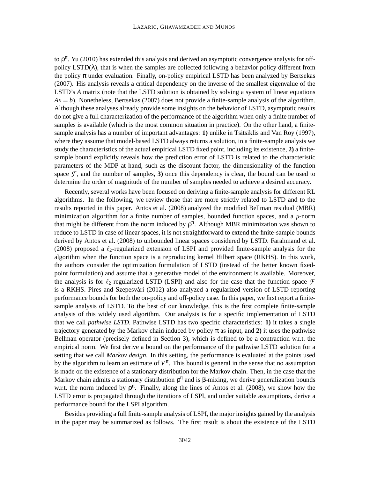to  $\rho^{\pi}$ . Yu (2010) has extended this analysis and derived an asymptotic convergence analysis for offpolicy  $LSTD(\lambda)$ , that is when the samples are collected following a behavior policy different from the policy  $\pi$  under evaluation. Finally, on-policy empirical LSTD has been analyzed by Bertsekas (2007). His analysis reveals a critical dependency on the inverse of the smallest eigenvalue of the LSTD's *A* matrix (note that the LSTD solution is obtained by solving a system of linear equations  $Ax = b$ ). Nonetheless, Bertsekas (2007) does not provide a finite-sample analysis of the algorithm. Although these analyses already provide some insights on the behavior of LSTD, asymptotic results do not give a full characterization of the performance of the algorithm when only a finite number of samples is available (which is the most common situation in practice). On the other hand, a finitesample analysis has a number of important advantages: **1)** unlike in Tsitsiklis and Van Roy (1997), where they assume that model-based LSTD always returns a solution, in a finite-sample analysis we study the characteristics of the actual empirical LSTD fixed point, including its existence, **2)** a finitesample bound explicitly reveals how the prediction error of LSTD is related to the characteristic parameters of the MDP at hand, such as the discount factor, the dimensionality of the function space  $\mathcal{F}$ , and the number of samples, **3**) once this dependency is clear, the bound can be used to determine the order of magnitude of the number of samples needed to achieve a desired accuracy.

Recently, several works have been focused on deriving a finite-sample analysis for different RL algorithms. In the following, we review those that are more strictly related to LSTD and to the results reported in this paper. Antos et al. (2008) analyzed the modified Bellman residual (MBR) minimization algorithm for a finite number of samples, bounded function spaces, and a *µ*-norm that might be different from the norm induced by  $\rho^{\pi}$ . Although MBR minimization was shown to reduce to LSTD in case of linear spaces, it is not straightforward to extend the finite-sample bounds derived by Antos et al. (2008) to unbounded linear spaces considered by LSTD. Farahmand et al. (2008) proposed a  $\ell_2$ -regularized extension of LSPI and provided finite-sample analysis for the algorithm when the function space is a reproducing kernel Hilbert space (RKHS). In this work, the authors consider the optimization formulation of LSTD (instead of the better known fixedpoint formulation) and assume that a generative model of the environment is available. Moreover, the analysis is for  $\ell_2$ -regularized LSTD (LSPI) and also for the case that the function space  $\mathcal F$ is a RKHS. Pires and Szepesvári (2012) also analyzed a regularized version of LSTD reporting performance bounds for both the on-policy and off-policy case. In this paper, we first report a finitesample analysis of LSTD. To the best of our knowledge, this is the first complete finite-sample analysis of this widely used algorithm. Our analysis is for a specific implementation of LSTD that we call *pathwise LSTD*. Pathwise LSTD has two specific characteristics: **1)** it takes a single trajectory generated by the Markov chain induced by policy  $\pi$  as input, and 2) it uses the pathwise Bellman operator (precisely defined in Section 3), which is defined to be a contraction w.r.t. the empirical norm. We first derive a bound on the performance of the pathwise LSTD solution for a setting that we call *Markov design*. In this setting, the performance is evaluated at the points used by the algorithm to learn an estimate of  $V^{\pi}$ . This bound is general in the sense that no assumption is made on the existence of a stationary distribution for the Markov chain. Then, in the case that the Markov chain admits a stationary distribution  $\rho^{\pi}$  and is  $\beta$ -mixing, we derive generalization bounds w.r.t. the norm induced by  $\rho^{\pi}$ . Finally, along the lines of Antos et al. (2008), we show how the LSTD error is propagated through the iterations of LSPI, and under suitable assumptions, derive a performance bound for the LSPI algorithm.

Besides providing a full finite-sample analysis of LSPI, the major insights gained by the analysis in the paper may be summarized as follows. The first result is about the existence of the LSTD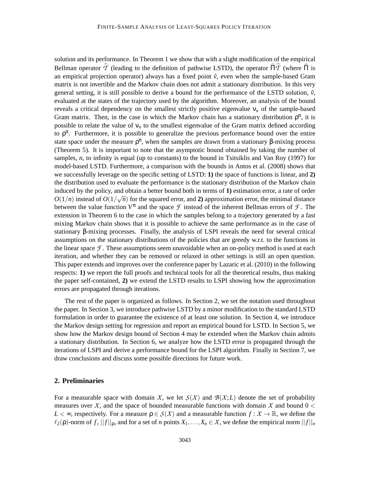solution and its performance. In Theorem 1 we show that with a slight modification of the empirical Bellman operator  $\hat{T}$  (leading to the definition of pathwise LSTD), the operator  $\hat{\Pi}\hat{T}$  (where  $\hat{\Pi}$  is an empirical projection operator) always has a fixed point  $\hat{v}$ , even when the sample-based Gram matrix is not invertible and the Markov chain does not admit a stationary distribution. In this very general setting, it is still possible to derive a bound for the performance of the LSTD solution,  $\hat{v}$ , evaluated at the states of the trajectory used by the algorithm. Moreover, an analysis of the bound reveals a critical dependency on the smallest strictly positive eigenvalue  $v_n$  of the sample-based Gram matrix. Then, in the case in which the Markov chain has a stationary distribution  $\rho^{\pi}$ , it is possible to relate the value of  $v_n$  to the smallest eigenvalue of the Gram matrix defined according to  $\rho^{\pi}$ . Furthermore, it is possible to generalize the previous performance bound over the entire state space under the measure  $\rho^{\pi}$ , when the samples are drawn from a stationary  $\beta$ -mixing process (Theorem 5). It is important to note that the asymptotic bound obtained by taking the number of samples, *n*, to infinity is equal (up to constants) to the bound in Tsitsiklis and Van Roy (1997) for model-based LSTD. Furthermore, a comparison with the bounds in Antos et al. (2008) shows that we successfully leverage on the specific setting of LSTD: **1)** the space of functions is linear, and **2)** the distribution used to evaluate the performance is the stationary distribution of the Markov chain induced by the policy, and obtain a better bound both in terms of **1)** estimation error, a rate of order  $O(1/n)$  instead of  $O(1/\sqrt{n})$  for the squared error, and **2**) approximation error, the minimal distance between the value function  $V^{\pi}$  and the space  $\mathcal F$  instead of the inherent Bellman errors of  $\mathcal F$ . The extension in Theorem 6 to the case in which the samples belong to a trajectory generated by a fast mixing Markov chain shows that it is possible to achieve the same performance as in the case of stationary β-mixing processes. Finally, the analysis of LSPI reveals the need for several critical assumptions on the stationary distributions of the policies that are greedy w.r.t. to the functions in the linear space  $\mathcal F$ . These assumptions seem unavoidable when an on-policy method is used at each iteration, and whether they can be removed or relaxed in other settings is still an open question. This paper extends and improves over the conference paper by Lazaric et al. (2010) in the following respects: **1)** we report the full proofs and technical tools for all the theoretical results, thus making the paper self-contained, **2)** we extend the LSTD results to LSPI showing how the approximation errors are propagated through iterations.

The rest of the paper is organized as follows. In Section 2, we set the notation used throughout the paper. In Section 3, we introduce pathwise LSTD by a minor modification to the standard LSTD formulation in order to guarantee the existence of at least one solution. In Section 4, we introduce the Markov design setting for regression and report an empirical bound for LSTD. In Section 5, we show how the Markov design bound of Section 4 may be extended when the Markov chain admits a stationary distribution. In Section 6, we analyze how the LSTD error is propagated through the iterations of LSPI and derive a performance bound for the LSPI algorithm. Finally in Section 7, we draw conclusions and discuss some possible directions for future work.

#### **2. Preliminaries**

For a measurable space with domain *X*, we let  $S(X)$  and  $B(X;L)$  denote the set of probability measures over *X*, and the space of bounded measurable functions with domain *X* and bound  $0 <$ *L*  $\lt \infty$ , respectively. For a measure  $\rho \in S(X)$  and a measurable function  $f: X \to \mathbb{R}$ , we define the  $\ell_2(\rho)$ -norm of f,  $||f||_{\rho}$ , and for a set of *n* points  $X_1,\ldots,X_n \in \mathcal{X}$ , we define the empirical norm  $||f||_n$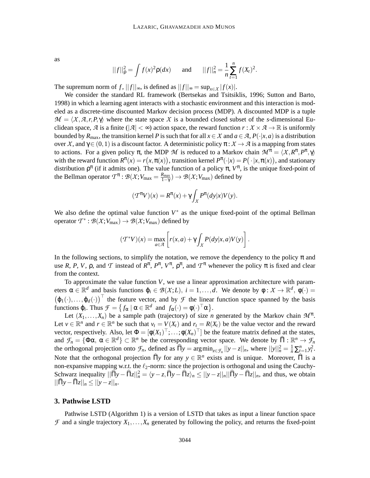as

$$
||f||_{\rho}^{2} = \int f(x)^{2} \rho(dx)
$$
 and  $||f||_{n}^{2} = \frac{1}{n} \sum_{t=1}^{n} f(X_{t})^{2}$ .

The supremum norm of *f*,  $||f||_{\infty}$ , is defined as  $||f||_{\infty} = \sup_{x \in X} |f(x)|$ .

We consider the standard RL framework (Bertsekas and Tsitsiklis, 1996; Sutton and Barto, 1998) in which a learning agent interacts with a stochastic environment and this interaction is modeled as a discrete-time discounted Markov decision process (MDP). A discounted MDP is a tuple  $\mathcal{M} = \langle X, \mathcal{A}, r, P, \gamma \rangle$  where the state space X is a bounded closed subset of the *s*-dimensional Euclidean space,  $\mathcal A$  is a finite ( $|\mathcal A| < \infty$ ) action space, the reward function  $r : \mathcal X \times \mathcal A \to \mathbb R$  is uniformly bounded by  $R_{\text{max}}$ , the transition kernel *P* is such that for all  $x \in X$  and  $a \in \mathcal{A}$ ,  $P(\cdot|x, a)$  is a distribution over *X*, and  $\gamma \in (0,1)$  is a discount factor. A deterministic policy  $\pi : X \to \mathcal{A}$  is a mapping from states to actions. For a given policy  $\pi$ , the MDP *M* is reduced to a Markov chain  $\mathcal{M}^{\pi} = \langle X, R^{\pi}, P^{\pi}, \gamma \rangle$ with the reward function  $R^{\pi}(x) = r(x, \pi(x))$ , transition kernel  $P^{\pi}(\cdot|x) = P(\cdot|x, \pi(x))$ , and stationary distribution  $\rho^{\pi}$  (if it admits one). The value function of a policy  $\pi$ ,  $V^{\pi}$ , is the unique fixed-point of the Bellman operator  $T^{\pi}$  :  $\mathcal{B}(\mathcal{X}; V_{\text{max}} = \frac{R_{\text{max}}}{1-\gamma})$  $\frac{R_{\text{max}}}{1-\gamma}$ )  $\rightarrow \mathcal{B}(\mathcal{X};V_{\text{max}})$  defined by

$$
(\mathcal{T}^{\pi}V)(x) = R^{\pi}(x) + \gamma \int_{\mathcal{X}} P^{\pi}(dy|x)V(y).
$$

We also define the optimal value function  $V^*$  as the unique fixed-point of the optimal Bellman operator  $T^* : \mathcal{B}(\mathcal{X}; V_{\text{max}}) \to \mathcal{B}(\mathcal{X}; V_{\text{max}})$  defined by

$$
(\mathcal{T}^*V)(x) = \max_{a \in \mathcal{A}} \left[ r(x,a) + \gamma \int_{\mathcal{X}} P(dy|x,a)V(y) \right].
$$

In the following sections, to simplify the notation, we remove the dependency to the policy  $\pi$  and use *R*, *P*, *V*,  $\rho$ , and *T* instead of  $R^{\pi}$ ,  $P^{\pi}$ ,  $V^{\pi}$ ,  $\rho^{\pi}$ , and  $T^{\pi}$  whenever the policy  $\pi$  is fixed and clear from the context.

To approximate the value function *V*, we use a linear approximation architecture with parameters  $\alpha \in \mathbb{R}^d$  and basis functions  $\varphi_i \in \mathcal{B}(\mathcal{X};L)$ ,  $i = 1, \ldots, d$ . We denote by  $\varphi : \mathcal{X} \to \mathbb{R}^d$ ,  $\varphi(\cdot) =$  $(\varphi_1(\cdot),...,\varphi_d(\cdot))$  the feature vector, and by *F* the linear function space spanned by the basis functions  $\varphi_i$ . Thus  $\mathcal{F} = \{ f_\alpha \mid \alpha \in \mathbb{R}^d \text{ and } f_\alpha(\cdot) = \varphi(\cdot)^\top \alpha \}.$ 

Let  $(X_1,...,X_n)$  be a sample path (trajectory) of size *n* generated by the Markov chain  $\mathcal{M}^{\pi}$ . Let  $v \in \mathbb{R}^n$  and  $r \in \mathbb{R}^n$  be such that  $v_t = V(X_t)$  and  $r_t = R(X_t)$  be the value vector and the reward vector, respectively. Also, let  $\Phi = [\phi(X_1)^{\top}; \dots; \phi(X_n)^{\top}]$  be the feature matrix defined at the states, and  $\mathcal{F}_n = {\Phi \alpha, \, \alpha \in \mathbb{R}^d} \subset \mathbb{R}^n$  be the corresponding vector space. We denote by  $\widehat{\Pi}: \mathbb{R}^n \to \mathcal{F}_n$ the orthogonal projection onto  $\mathcal{F}_n$ , defined as  $\widehat{\Pi}y = \arg \min_{z \in \mathcal{F}_n} ||y - z||_n$ , where  $||y||_n^2 = \frac{1}{n} \sum_{t=1}^n y_t^2$ . Note that the orthogonal projection  $\widehat{\Pi}$ *y* for any  $y \in \mathbb{R}^n$  exists and is unique. Moreover,  $\widehat{\Pi}$  is a non-expansive mapping w.r.t. the  $\ell_2$ -norm: since the projection is orthogonal and using the Cauchy-Schwarz inequality  $||\hat{\Pi}y - \hat{\Pi}z||_n^2 = \langle y - z, \hat{\Pi}y - \hat{\Pi}z \rangle_n \le ||y - z||_n ||\hat{\Pi}y - \hat{\Pi}z||_n$ , and thus, we obtain  $||\Pi y - \Pi z||_n \le ||y - z||_n.$ 

#### **3. Pathwise LSTD**

Pathwise LSTD (Algorithm 1) is a version of LSTD that takes as input a linear function space  $\mathcal F$  and a single trajectory  $X_1, \ldots, X_n$  generated by following the policy, and returns the fixed-point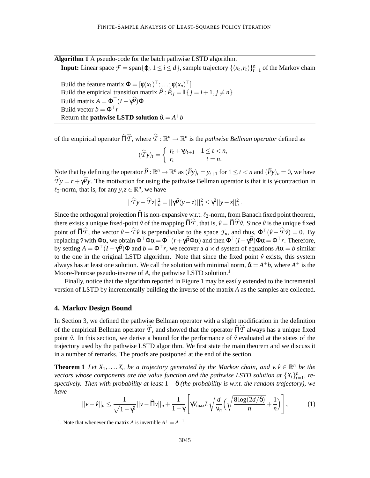**Algorithm 1** A pseudo-code for the batch pathwise LSTD algorithm.

**Input:** Linear space  $\mathcal{F} = \text{span}\{\varphi_i, 1 \leq i \leq d\}$ , sample trajectory  $\{(x_t, r_t)\}_{t=1}^n$  of the Markov chain

Build the feature matrix  $\Phi = [\phi(x_1)^{\top}; \dots; \phi(x_n)^{\top}]$ Build the empirical transition matrix  $\hat{P}$ :  $\hat{P}_{ij} = \mathbb{I} \{ j = i + 1, j \neq n \}$ Build matrix  $A = \Phi^{\top}(I - \gamma \widehat{P})\Phi$ Build vector  $b = \Phi^{\top} r$ Return the  $\mathbf{pathwise\ LSTM}$  solution  $\hat{\alpha} = A^+b$ 

of the empirical operator  $\widehat{\Pi}\widehat{T}$ , where  $\widehat{T} : \mathbb{R}^n \to \mathbb{R}^n$  is the *pathwise Bellman operator* defined as

$$
(\widehat{T}y)_t = \begin{cases} r_t + \gamma y_{t+1} & 1 \leq t < n, \\ r_t & t = n. \end{cases}
$$

Note that by defining the operator  $\hat{P}$ :  $\mathbb{R}^n \to \mathbb{R}^n$  as  $(\hat{P}y)_t = y_{t+1}$  for  $1 \le t < n$  and  $(\hat{P}y)_n = 0$ , we have  $\hat{T}y = r + \gamma \hat{P}y$ . The motivation for using the pathwise Bellman operator is that it is γ-contraction in  $\ell_2$ -norm, that is, for any  $y, z \in \mathbb{R}^n$ , we have

$$
||\widehat{T}y - \widehat{T}z||_n^2 = ||\gamma \widehat{P}(y - z)||_n^2 \leq \gamma^2 ||y - z||_n^2.
$$

Since the orthogonal projection  $\widehat{\Pi}$  is non-expansive w.r.t.  $\ell_2$ -norm, from Banach fixed point theorem, there exists a unique fixed-point  $\hat{v}$  of the mapping  $\hat{\Pi}\hat{T}$ , that is,  $\hat{v} = \hat{\Pi}\hat{T}\hat{v}$ . Since  $\hat{v}$  is the unique fixed point of  $\widehat{\Pi}\widehat{T}$ , the vector  $\widehat{v} - \widehat{T}\widehat{v}$  is perpendicular to the space  $\mathcal{F}_n$ , and thus,  $\Phi^{\top}(\widehat{v} - \widehat{T}\widehat{v}) = 0$ . By replacing  $\hat{v}$  with Φα, we obtain  $\Phi^{\top}\Phi\alpha = \Phi^{\top}(r + \gamma\widehat{P}\Phi\alpha)$  and then  $\Phi^{\top}(I - \gamma\widehat{P})\Phi\alpha = \Phi^{\top}r$ . Therefore, by setting  $A = \Phi^{\top}(I - \gamma \widehat{P})\Phi$  and  $b = \Phi^{\top}r$ , we recover a  $d \times d$  system of equations  $A\alpha = b$  similar to the one in the original LSTD algorithm. Note that since the fixed point  $\hat{v}$  exists, this system always has at least one solution. We call the solution with minimal norm,  $\hat{\alpha} = A^+b$ , where  $A^+$  is the Moore-Penrose pseudo-inverse of A, the pathwise LSTD solution.<sup>1</sup>

Finally, notice that the algorithm reported in Figure 1 may be easily extended to the incremental version of LSTD by incrementally building the inverse of the matrix *A* as the samples are collected.

#### **4. Markov Design Bound**

In Section 3, we defined the pathwise Bellman operator with a slight modification in the definition of the empirical Bellman operator  $\hat{T}$ , and showed that the operator  $\hat{\Pi}\hat{T}$  always has a unique fixed point  $\hat{v}$ . In this section, we derive a bound for the performance of  $\hat{v}$  evaluated at the states of the trajectory used by the pathwise LSTD algorithm. We first state the main theorem and we discuss it in a number of remarks. The proofs are postponed at the end of the section.

**Theorem 1** *Let*  $X_1, \ldots, X_n$  *be a trajectory generated by the Markov chain, and*  $v, \hat{v} \in \mathbb{R}^n$  *be the vectors whose components are the value function and the pathwise LSTD solution at*  $\{X_t\}_{t=1}^n$ , re*spectively. Then with probability at least* 1−δ *(the probability is w.r.t. the random trajectory), we have*

$$
||v-\hat{v}||_n \leq \frac{1}{\sqrt{1-\gamma^2}}||v-\hat{\Pi}v||_n + \frac{1}{1-\gamma}\left[\gamma V_{\text{max}}L\sqrt{\frac{d}{v_n}}\left(\sqrt{\frac{8\log(2d/\delta)}{n}} + \frac{1}{n}\right)\right],\tag{1}
$$

<sup>1.</sup> Note that whenever the matrix *A* is invertible  $A^+ = A^{-1}$ .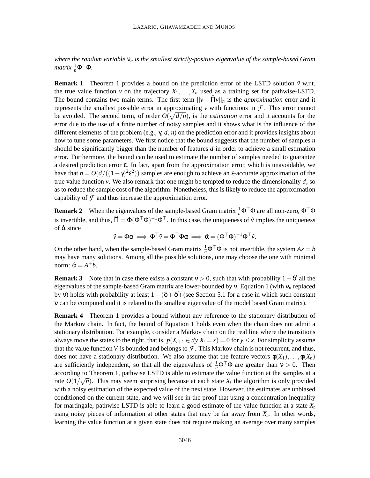*where the random variable* ν*<sup>n</sup> is the smallest strictly-positive eigenvalue of the sample-based Gram*  $matrix \frac{1}{n} \Phi^{\top} \Phi$ .

**Remark 1** Theorem 1 provides a bound on the prediction error of the LSTD solution  $\hat{v}$  w.r.t. the true value function *v* on the trajectory  $X_1, \ldots, X_n$  used as a training set for pathwise-LSTD. The bound contains two main terms. The first term  $||v - \widehat{H}v||_n$  is the *approximation* error and it represents the smallest possible error in approximating  $\nu$  with functions in  $\mathcal{F}$ . This error cannot be avoided. The second term, of order  $O(\sqrt{d/n})$ , is the *estimation* error and it accounts for the error due to the use of a finite number of noisy samples and it shows what is the influence of the different elements of the problem (e.g., γ, *d*, *n*) on the prediction error and it provides insights about how to tune some parameters. We first notice that the bound suggests that the number of samples *n* should be significantly bigger than the number of features *d* in order to achieve a small estimation error. Furthermore, the bound can be used to estimate the number of samples needed to guarantee a desired prediction error ε. In fact, apart from the approximation error, which is unavoidable, we have that  $n = O(d/((1 - \gamma)^2 \varepsilon^2))$  samples are enough to achieve an  $\varepsilon$ -accurate approximation of the true value function  $v$ . We also remark that one might be tempted to reduce the dimensionality  $d$ , so as to reduce the sample cost of the algorithm. Nonetheless, this is likely to reduce the approximation capability of  $\mathcal F$  and thus increase the approximation error.

**Remark 2** When the eigenvalues of the sample-based Gram matrix  $\frac{1}{n} \Phi^{\top} \Phi$  are all non-zero,  $\Phi^{\top} \Phi$ is invertible, and thus,  $\hat{\Pi} = \Phi(\Phi^{\top}\Phi)^{-1}\Phi^{\top}$ . In this case, the uniqueness of  $\hat{v}$  implies the uniqueness of  $\hat{\alpha}$  since

$$
\hat{v} = \Phi \alpha \implies \Phi^{\top} \hat{v} = \Phi^{\top} \Phi \alpha \implies \hat{\alpha} = (\Phi^{\top} \Phi)^{-1} \Phi^{\top} \hat{v}.
$$

On the other hand, when the sample-based Gram matrix  $\frac{1}{n} \Phi^{\top} \Phi$  is not invertible, the system  $Ax = b$ may have many solutions. Among all the possible solutions, one may choose the one with minimal norm:  $\hat{\alpha} = A^+b$ .

**Remark 3** Note that in case there exists a constant  $v > 0$ , such that with probability  $1 - \delta'$  all the eigenvalues of the sample-based Gram matrix are lower-bounded by ν, Equation 1 (with ν*<sup>n</sup>* replaced by v) holds with probability at least  $1-(\delta+\delta')$  (see Section 5.1 for a case in which such constant ν can be computed and it is related to the smallest eigenvalue of the model based Gram matrix).

**Remark 4** Theorem 1 provides a bound without any reference to the stationary distribution of the Markov chain. In fact, the bound of Equation 1 holds even when the chain does not admit a stationary distribution. For example, consider a Markov chain on the real line where the transitions always move the states to the right, that is,  $p(X_{t+1} \in dy | X_t = x) = 0$  for  $y \leq x$ . For simplicity assume that the value function *V* is bounded and belongs to  $\mathcal F$ . This Markov chain is not recurrent, and thus, does not have a stationary distribution. We also assume that the feature vectors  $\phi(X_1), \ldots, \phi(X_n)$ are sufficiently independent, so that all the eigenvalues of  $\frac{1}{n} \Phi^{\top} \Phi$  are greater than  $v > 0$ . Then according to Theorem 1, pathwise LSTD is able to estimate the value function at the samples at a rate  $O(1/\sqrt{n})$ . This may seem surprising because at each state  $X_t$  the algorithm is only provided with a noisy estimation of the expected value of the next state. However, the estimates are unbiased conditioned on the current state, and we will see in the proof that using a concentration inequality for martingale, pathwise LSTD is able to learn a good estimate of the value function at a state *X<sup>t</sup>* using noisy pieces of information at other states that may be far away from *X<sup>t</sup>* . In other words, learning the value function at a given state does not require making an average over many samples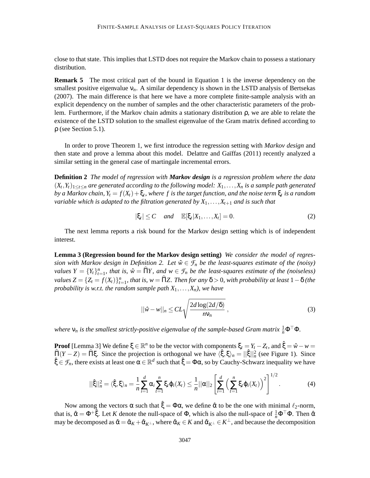close to that state. This implies that LSTD does not require the Markov chain to possess a stationary distribution.

**Remark 5** The most critical part of the bound in Equation 1 is the inverse dependency on the smallest positive eigenvalue  $v_n$ . A similar dependency is shown in the LSTD analysis of Bertsekas (2007). The main difference is that here we have a more complete finite-sample analysis with an explicit dependency on the number of samples and the other characteristic parameters of the problem. Furthermore, if the Markov chain admits a stationary distribution ρ, we are able to relate the existence of the LSTD solution to the smallest eigenvalue of the Gram matrix defined according to ρ (see Section 5.1).

In order to prove Theorem 1, we first introduce the regression setting with *Markov design* and then state and prove a lemma about this model. Delattre and Gaïffas (2011) recently analyzed a similar setting in the general case of martingale incremental errors.

**Definition 2** *The model of regression with Markov design is a regression problem where the data*  $(X_t, Y_t)_{1 \leq t \leq n}$  are generated according to the following model:  $X_1, \ldots, X_n$  is a sample path generated  $by$  a Markov chain,  $Y_t = f(X_t) + \xi_t$ , where  $f$  is the target function, and the noise term  $\xi_t$  is a random *variable which is adapted to the filtration generated by* $X_1, \ldots, X_{t+1}$  *and is such that* 

$$
|\xi_t| \le C \quad \text{and} \quad \mathbb{E}[\xi_t|X_1,\ldots,X_t] = 0. \tag{2}
$$

The next lemma reports a risk bound for the Markov design setting which is of independent interest.

**Lemma 3 (Regression bound for the Markov design setting)** *We consider the model of regression with Markov design in Definition 2. Let*  $\hat{w} \in \mathcal{F}_n$  *be the least-squares estimate of the (noisy) values*  $Y = \{Y_t\}_{t=1}^n$ , that is,  $\hat{w} = \widehat{\Pi}Y$ , and  $w \in \mathcal{F}_n$  be the least-squares estimate of the (noiseless)  $values Z = \{Z_t = f(X_t)\}_{t=1}^n$ , that is,  $w = \widehat{\Pi}Z$ . Then for any  $\delta > 0$ , with probability at least  $1 - \delta$  (the *probability is w.r.t. the random sample path*  $X_1, \ldots, X_n$ *), we have* 

$$
||\hat{w} - w||_n \leq CL \sqrt{\frac{2d \log(2d/\delta)}{n v_n}},
$$
\n(3)

where  $v_n$  is the smallest strictly-positive eigenvalue of the sample-based Gram matrix  $\frac{1}{n}$  $\Phi^{\top}\Phi$ .

**Proof** [Lemma 3] We define  $\xi \in \mathbb{R}^n$  to be the vector with components  $\xi_t = Y_t - Z_t$ , and  $\xi = \hat{w} - w = \hat{z}$  $\widehat{\Pi}(Y - Z) = \widehat{\Pi}\xi$ . Since the projection is orthogonal we have  $\langle \xi, \xi \rangle_n = ||\hat{\xi}||_n^2$  (see Figure 1). Since  $\hat{\xi} \in \mathcal{F}_n$ , there exists at least one  $\alpha \in \mathbb{R}^d$  such that  $\hat{\xi} = \Phi \alpha$ , so by Cauchy-Schwarz inequality we have

$$
||\hat{\xi}||_n^2 = \langle \hat{\xi}, \xi \rangle_n = \frac{1}{n} \sum_{i=1}^d \alpha_i \sum_{t=1}^n \xi_t \varphi_t(X_t) \leq \frac{1}{n} ||\alpha||_2 \left[ \sum_{i=1}^d \left( \sum_{t=1}^n \xi_t \varphi_t(X_t) \right)^2 \right]^{1/2}.
$$
 (4)

Now among the vectors  $\alpha$  such that  $\hat{\xi} = \Phi \alpha$ , we define  $\hat{\alpha}$  to be the one with minimal  $\ell_2$ -norm, that is,  $\hat{\alpha} = \Phi^+ \hat{\xi}$ . Let *K* denote the null-space of  $\Phi$ , which is also the null-space of  $\frac{1}{n} \Phi^{\top} \Phi$ . Then  $\hat{\alpha}$ may be decomposed as  $\hat{\alpha} = \hat{\alpha}_K + \hat{\alpha}_{K^{\perp}}$ , where  $\hat{\alpha}_K \in K$  and  $\hat{\alpha}_{K^{\perp}} \in K^{\perp}$ , and because the decomposition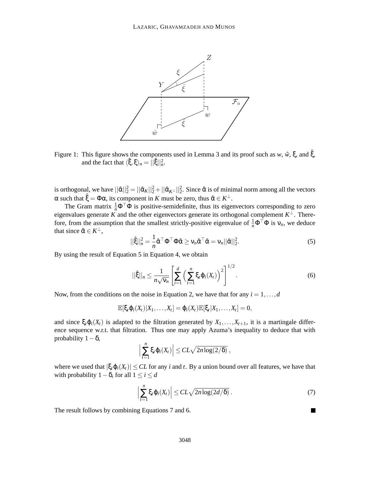

Figure 1: This figure shows the components used in Lemma 3 and its proof such as *w*,  $\hat{w}$ ,  $\xi$ , and  $\hat{\xi}$ , and the fact that  $\langle \hat{\xi}, \xi \rangle_n = \hat{||\hat{\xi}||_n^2}$ .

is orthogonal, we have  $||\hat{\alpha}||_2^2 = ||\hat{\alpha}_K||_2^2 + ||\hat{\alpha}_{K^{\perp}}||_2^2$ . Since  $\hat{\alpha}$  is of minimal norm among all the vectors  $\alpha$  such that  $\hat{\xi} = \Phi \alpha$ , its component in *K* must be zero, thus  $\hat{\alpha} \in K^{\perp}$ .

The Gram matrix  $\frac{1}{n}\Phi^{\top}\Phi$  is positive-semidefinite, thus its eigenvectors corresponding to zero eigenvalues generate *K* and the other eigenvectors generate its orthogonal complement  $K^{\perp}$ . Therefore, from the assumption that the smallest strictly-positive eigenvalue of  $\frac{1}{n}\Phi^{\top}\Phi$  is  $v_n$ , we deduce that since  $\hat{\alpha} \in K^{\perp}$ ,

$$
||\hat{\xi}||_n^2 = \frac{1}{n}\hat{\alpha}^\top \Phi^\top \Phi \hat{\alpha} \ge \nu_n \hat{\alpha}^\top \hat{\alpha} = \nu_n ||\hat{\alpha}||_2^2.
$$
 (5)

By using the result of Equation 5 in Equation 4, we obtain

$$
||\hat{\xi}||_n \leq \frac{1}{n\sqrt{\nu_n}} \left[ \sum_{i=1}^d \left( \sum_{t=1}^n \xi_t \varphi_i(X_t) \right)^2 \right]^{1/2}.
$$
 (6)

Now, from the conditions on the noise in Equation 2, we have that for any  $i = 1, \ldots, d$ 

$$
\mathbb{E}[\xi_t \varphi_i(X_t) | X_1,\ldots,X_t] = \varphi_i(X_t) \mathbb{E}[\xi_t | X_1,\ldots,X_t] = 0,
$$

and since  $\xi_t \phi_i(X_t)$  is adapted to the filtration generated by  $X_1, \ldots, X_{t+1}$ , it is a martingale difference sequence w.r.t. that filtration. Thus one may apply Azuma's inequality to deduce that with probability  $1-\delta$ ,

$$
\Big|\sum_{t=1}^n \xi_t \varphi_i(X_t)\Big| \leq CL\sqrt{2n\log(2/\delta)}\,
$$

where we used that  $|\xi_t \varphi_i(X_t)| \leq CL$  for any *i* and *t*. By a union bound over all features, we have that with probability  $1-\delta$ , for all  $1 \le i \le d$ 

$$
\left|\sum_{t=1}^n \xi_t \varphi_i(X_t)\right| \leq CL\sqrt{2n\log(2d/\delta)}\,.
$$
 (7)

The result follows by combining Equations 7 and 6.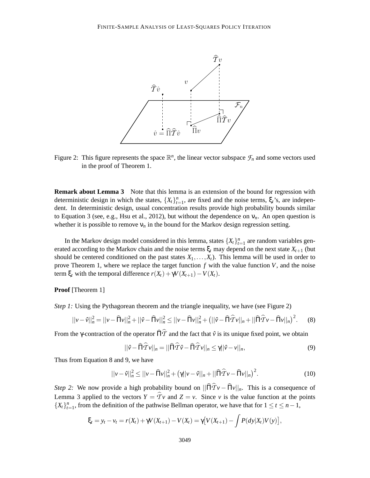

Figure 2: This figure represents the space  $\mathbb{R}^n$ , the linear vector subspace  $\mathcal{F}_n$  and some vectors used in the proof of Theorem 1.

**Remark about Lemma 3** Note that this lemma is an extension of the bound for regression with deterministic design in which the states,  $\{X_t\}_{t=1}^n$ , are fixed and the noise terms,  $\xi_t$ 's, are independent. In deterministic design, usual concentration results provide high probability bounds similar to Equation 3 (see, e.g., Hsu et al., 2012), but without the dependence on  $v_n$ . An open question is whether it is possible to remove  $v_n$  in the bound for the Markov design regression setting.

In the Markov design model considered in this lemma, states  $\{X_t\}_{t=1}^n$  are random variables generated according to the Markov chain and the noise terms  $\xi_t$  may depend on the next state  $X_{t+1}$  (but should be centered conditioned on the past states  $X_1, \ldots, X_t$ ). This lemma will be used in order to prove Theorem 1, where we replace the target function *f* with the value function *V*, and the noise term  $\xi_t$  with the temporal difference  $r(X_t) + \gamma V(X_{t+1}) - V(X_t)$ .

**Proof** [Theorem 1]

*Step 1:* Using the Pythagorean theorem and the triangle inequality, we have (see Figure 2)

$$
||v - \hat{v}||_n^2 = ||v - \hat{\Pi}v||_n^2 + ||\hat{v} - \hat{\Pi}v||_n^2 \le ||v - \hat{\Pi}v||_n^2 + (||\hat{v} - \hat{\Pi}\hat{\mathcal{T}}v||_n + ||\hat{\Pi}\hat{\mathcal{T}}v - \hat{\Pi}v||_n)^2.
$$
 (8)

From the *γ*-contraction of the operator  $\hat{\Pi}\hat{T}$  and the fact that  $\hat{v}$  is its unique fixed point, we obtain

$$
||\hat{v} - \hat{\Pi}\hat{T}v||_n = ||\hat{\Pi}\hat{T}\hat{v} - \hat{\Pi}\hat{T}v||_n \le \gamma ||\hat{v} - v||_n,
$$
\n(9)

Thus from Equation 8 and 9, we have

$$
||v - \hat{v}||_n^2 \le ||v - \hat{\Pi}v||_n^2 + (\gamma||v - \hat{v}||_n + ||\hat{\Pi}\hat{\mathcal{T}}v - \hat{\Pi}v||_n)^2.
$$
 (10)

*Step 2:* We now provide a high probability bound on  $||\hat{\Pi} \hat{T} v - \hat{\Pi} v||_n$ . This is a consequence of Lemma 3 applied to the vectors  $Y = \hat{T} v$  and  $Z = v$ . Since *v* is the value function at the points  ${X_t}_{t=1}^n$ , from the definition of the pathwise Bellman operator, we have that for  $1 \le t \le n-1$ ,

$$
\xi_t = y_t - v_t = r(X_t) + \gamma V(X_{t+1}) - V(X_t) = \gamma [V(X_{t+1}) - \int P(dy|X_t)V(y)],
$$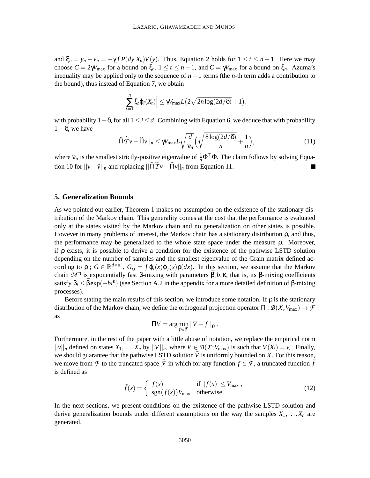and  $\xi_n = y_n - v_n = -\gamma \int P(dy|X_n)V(y)$ . Thus, Equation 2 holds for  $1 \le t \le n-1$ . Here we may choose  $C = 2\gamma V_{\text{max}}$  for a bound on  $\xi_t$ ,  $1 \le t \le n - 1$ , and  $C = \gamma V_{\text{max}}$  for a bound on  $\xi_n$ . Azuma's inequality may be applied only to the sequence of *n*−1 terms (the *n*-th term adds a contribution to the bound), thus instead of Equation 7, we obtain

$$
\Big|\sum_{t=1}^n \xi_t \varphi_i(X_t)\Big| \leq \gamma V_{\max} L\big(2\sqrt{2n \log(2d/\delta)}+1\big),\,
$$

with probability  $1-\delta$ , for all  $1 \le i \le d$ . Combining with Equation 6, we deduce that with probability  $1-\delta$ , we have

$$
||\widehat{\Pi}\widehat{T}\nu - \widehat{\Pi}\nu||_n \le \gamma V_{\text{max}} L \sqrt{\frac{d}{\nu_n}} \Big(\sqrt{\frac{8\log(2d/\delta)}{n}} + \frac{1}{n}\Big),\tag{11}
$$

where  $v_n$  is the smallest strictly-positive eigenvalue of  $\frac{1}{n} \Phi^{\top} \Phi$ . The claim follows by solving Equation 10 for  $||v-\hat{v}||_n$  and replacing  $||\hat{H}\hat{T}v-\hat{H}v||_n$  from Equation 11.

#### **5. Generalization Bounds**

As we pointed out earlier, Theorem 1 makes no assumption on the existence of the stationary distribution of the Markov chain. This generality comes at the cost that the performance is evaluated only at the states visited by the Markov chain and no generalization on other states is possible. However in many problems of interest, the Markov chain has a stationary distribution ρ, and thus, the performance may be generalized to the whole state space under the measure ρ. Moreover, if  $\rho$  exists, it is possible to derive a condition for the existence of the pathwise LSTD solution depending on the number of samples and the smallest eigenvalue of the Gram matrix defined according to  $\rho$ ;  $G \in \mathbb{R}^{d \times d}$ ,  $G_{ij} = \int \varphi_i(x) \varphi_j(x) \rho(dx)$ . In this section, we assume that the Markov chain  $\mathcal{M}^{\pi}$  is exponentially fast β-mixing with parameters  $\bar{\beta}$ , b, κ, that is, its β-mixing coefficients satisfy  $\beta_i \leq \bar{\beta} \exp(-bi^k)$  (see Section A.2 in the appendix for a more detailed definition of  $\beta$ -mixing processes).

Before stating the main results of this section, we introduce some notation. If  $\rho$  is the stationary distribution of the Markov chain, we define the orthogonal projection operator  $\Pi : \mathcal{B}(\mathcal{X}; V_{\text{max}}) \to \mathcal{F}$ as

$$
\Pi V = \arg\min_{f \in \mathcal{F}} ||V - f||_{\rho} .
$$

Furthermore, in the rest of the paper with a little abuse of notation, we replace the empirical norm  $||v||_n$  defined on states  $X_1, \ldots, X_n$  by  $||V||_n$ , where  $V \in \mathcal{B}(\mathcal{X}; V_{\text{max}})$  is such that  $V(X_t) = v_t$ . Finally, we should guarantee that the pathwise LSTD solution  $\hat{V}$  is uniformly bounded on *X*. For this reason, we move from *F* to the truncated space *F* in which for any function  $f \in \mathcal{F}$ , a truncated function  $\tilde{f}$ is defined as

$$
\tilde{f}(x) = \begin{cases}\nf(x) & \text{if } |f(x)| \le V_{\text{max}} , \\
\text{sgn}(f(x)) V_{\text{max}} & \text{otherwise.}\n\end{cases}
$$
\n(12)

In the next sections, we present conditions on the existence of the pathwise LSTD solution and derive generalization bounds under different assumptions on the way the samples  $X_1, \ldots, X_n$  are generated.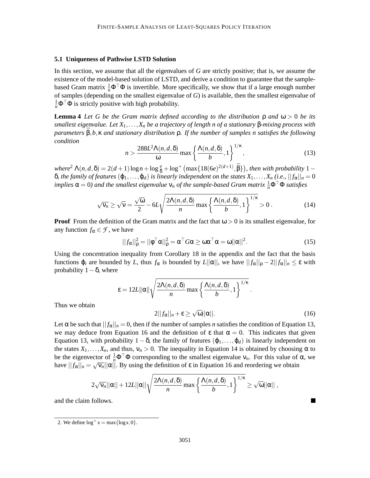#### **5.1 Uniqueness of Pathwise LSTD Solution**

In this section, we assume that all the eigenvalues of *G* are strictly positive; that is, we assume the existence of the model-based solution of LSTD, and derive a condition to guarantee that the samplebased Gram matrix  $\frac{1}{n}\Phi^{\top}\Phi$  is invertible. More specifically, we show that if a large enough number of samples (depending on the smallest eigenvalue of *G*) is available, then the smallest eigenvalue of  $\frac{1}{n}$ **Φ** <sup>T</sup> **Φ** is strictly positive with high probability.

**Lemma 4** *Let G be the Gram matrix defined according to the distribution* ρ *and* ω > 0 *be its smallest eigenvalue. Let X*1,...,*X<sup>n</sup> be a trajectory of length n of a stationary* β*-mixing process with parameters* ¯β,*b*,κ *and stationary distribution* ρ*. If the number of samples n satisfies the following condition*

$$
n > \frac{288L^2\Lambda(n,d,\delta)}{\omega} \max\left\{\frac{\Lambda(n,d,\delta)}{b},1\right\}^{1/\kappa},\tag{13}
$$

 $where^2 \Lambda(n,d,\delta) = 2(d+1)\log n + \log \frac{e}{\delta} + \log^+ \left( \max\{18(6e)^{2(d+1)}, \bar{\beta}\} \right)$ , then with probability 1 –  $\delta$ *, the family of features*  $(φ_1, ..., φ_d)$  *is linearly independent on the states*  $X_1, ..., X_n$  *(i.e.,*  $||f_α||_n = 0$  $i$ *mplies*  $\alpha = 0$ ) and the smallest eigenvalue  $v_n$  of the sample-based Gram matrix  $\frac{1}{n} \Phi^\top \Phi$  satisfies

$$
\sqrt{\mathsf{v}_n} \ge \sqrt{\mathsf{v}} = \frac{\sqrt{\omega}}{2} - 6L\sqrt{\frac{2\Lambda(n,d,\delta)}{n}\max\left\{\frac{\Lambda(n,d,\delta)}{b},1\right\}^{1/\kappa}} > 0. \tag{14}
$$

**Proof** From the definition of the Gram matrix and the fact that  $\omega > 0$  is its smallest eigenvalue, for any function  $f_{\alpha} \in \mathcal{F}$ , we have

$$
||f_{\alpha}||_{\rho}^{2} = ||\phi^{\top}\alpha||_{\rho}^{2} = \alpha^{\top}G\alpha \ge \omega\alpha^{\top}\alpha = \omega||\alpha||^{2}.
$$
 (15)

Using the concentration inequality from Corollary 18 in the appendix and the fact that the basis functions ϕ*<sup>i</sup>* are bounded by *L*, thus *f*<sup>α</sup> is bounded by *L*||α||, we have || *f*α||<sup>ρ</sup> − 2|| *f*α||*<sup>n</sup>* ≤ ε with probability  $1-\delta$ , where

$$
\varepsilon = 12L \|\alpha\| \sqrt{\frac{2\Lambda(n,d,\delta)}{n} \max \left\{ \frac{\Lambda(n,d,\delta)}{b},1 \right\}^{1/\kappa}}.
$$

Thus we obtain

$$
2||f_{\alpha}||_{n} + \varepsilon \ge \sqrt{\omega}||\alpha||. \tag{16}
$$

П

Let  $\alpha$  be such that  $||f_{\alpha}||_n = 0$ , then if the number of samples *n* satisfies the condition of Equation 13, we may deduce from Equation 16 and the definition of  $\varepsilon$  that  $\alpha = 0$ . This indicates that given Equation 13, with probability  $1 - \delta$ , the family of features  $(\varphi_1, \ldots, \varphi_d)$  is linearly independent on the states  $X_1, \ldots, X_n$ , and thus,  $v_n > 0$ . The inequality in Equation 14 is obtained by choosing  $\alpha$  to be the eigenvector of  $\frac{1}{n}$  $Φ<sup>⊤</sup>Φ$  corresponding to the smallest eigenvalue  $ν<sub>n</sub>$ . For this value of α, we have  $||f_\alpha||_n = \sqrt{v_n} ||\alpha||$ . By using the definition of  $\varepsilon$  in Equation 16 and reordering we obtain

$$
2\sqrt{\mathsf{v}_n}||\alpha|| + 12L||\alpha||\sqrt{\frac{2\Lambda(n,d,\delta)}{n}\max\left\{\frac{\Lambda(n,d,\delta)}{b},1\right\}^{1/\kappa}} \geq \sqrt{\omega}||\alpha||,
$$

and the claim follows.

<sup>2.</sup> We define  $\log^+ x = \max\{\log x, 0\}$ .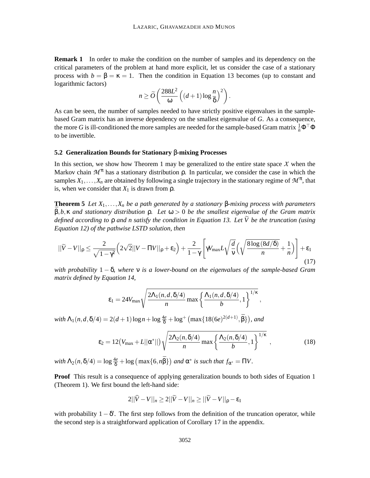**Remark 1** In order to make the condition on the number of samples and its dependency on the critical parameters of the problem at hand more explicit, let us consider the case of a stationary process with  $b = \beta = \kappa = 1$ . Then the condition in Equation 13 becomes (up to constant and logarithmic factors)

$$
n \ge \widetilde{O}\left(\frac{288L^2}{\omega}\left((d+1)\log\frac{n}{\delta}\right)^2\right).
$$

As can be seen, the number of samples needed to have strictly positive eigenvalues in the samplebased Gram matrix has an inverse dependency on the smallest eigenvalue of *G*. As a consequence, the more *G* is ill-conditioned the more samples are needed for the sample-based Gram matrix  $\frac{1}{n} \Phi^{\top} \Phi$ to be invertible.

#### **5.2 Generalization Bounds for Stationary** β**-mixing Processes**

In this section, we show how Theorem 1 may be generalized to the entire state space  $\chi$  when the Markov chain  $\mathcal{M}^{\pi}$  has a stationary distribution p. In particular, we consider the case in which the samples  $X_1, \ldots, X_n$  are obtained by following a single trajectory in the stationary regime of  $\mathcal{M}^{\pi}$ , that is, when we consider that  $X_1$  is drawn from  $\rho$ .

**Theorem 5** *Let X*1,...,*X<sup>n</sup> be a path generated by a stationary* β*-mixing process with parameters* ¯β,*b*,κ *and stationary distribution* ρ*. Let* ω > 0 *be the smallest eigenvalue of the Gram matrix defined according to*  $\rho$  *and n satisfy the condition in Equation 13. Let*  $\tilde{V}$  *be the truncation (using Equation 12) of the pathwise LSTD solution, then*

$$
||\widetilde{V} - V||_{\rho} \le \frac{2}{\sqrt{1 - \gamma^2}} \left( 2\sqrt{2}||V - \Pi V||_{\rho} + \varepsilon_2 \right) + \frac{2}{1 - \gamma} \left[ \gamma V_{\text{max}} L \sqrt{\frac{d}{v}} \left( \sqrt{\frac{8\log(8d/\delta)}{n}} + \frac{1}{n} \right) \right] + \varepsilon_1
$$
\n(17)

*with probability* 1 − δ*, where* ν *is a lower-bound on the eigenvalues of the sample-based Gram matrix defined by Equation 14,*

$$
\varepsilon_1 = 24V_{\max} \sqrt{\frac{2\Lambda_1(n,d,\delta/4)}{n} \max \left\{ \frac{\Lambda_1(n,d,\delta/4)}{b},1 \right\}^{1/\kappa}},
$$

 $with \ \Lambda_1(n, d, \delta/4) = 2(d+1)\log n + \log \frac{4e}{\delta} + \log^+ \left(\max\{18(6e)^{2(d+1)}, \bar{\beta}\}\right), \ and$ 

$$
\varepsilon_2 = 12\big(V_{\text{max}} + L||\alpha^*||\big)\sqrt{\frac{2\Lambda_2(n,\delta/4)}{n}\max\left\{\frac{\Lambda_2(n,\delta/4)}{b},1\right\}^{1/\kappa}},\tag{18}
$$

*with*  $\Lambda_2(n, \delta/4) = \log \frac{4e}{\delta} + \log \left( \max\{6, n\bar{\beta}\} \right)$  and  $\alpha^*$  is such that  $f_{\alpha^*} = \Pi V$ .

**Proof** This result is a consequence of applying generalization bounds to both sides of Equation 1 (Theorem 1). We first bound the left-hand side:

$$
2||\widehat{V} - V||_n \ge 2||\widetilde{V} - V||_n \ge ||\widetilde{V} - V||_p - \varepsilon_1
$$

with probability  $1 - \delta'$ . The first step follows from the definition of the truncation operator, while the second step is a straightforward application of Corollary 17 in the appendix.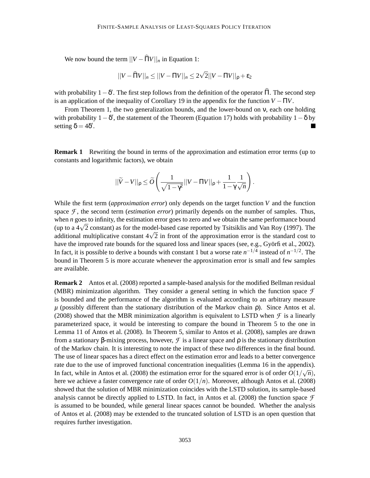We now bound the term  $||V - \widehat{H}V||_n$  in Equation 1:

$$
||V - \widehat{\Pi}V||_n \le ||V - \Pi V||_n \le 2\sqrt{2}||V - \Pi V||_p + \varepsilon_2
$$

with probability  $1 - \delta'$ . The first step follows from the definition of the operator  $\Pi$ . The second step is an application of the inequality of Corollary 19 in the appendix for the function  $V - \Pi V$ .

From Theorem 1, the two generalization bounds, and the lower-bound on ν, each one holding with probability  $1 - \delta'$ , the statement of the Theorem (Equation 17) holds with probability  $1 - \delta$  by setting  $\delta = 4\delta'$ .

**Remark 1** Rewriting the bound in terms of the approximation and estimation error terms (up to constants and logarithmic factors), we obtain

$$
||\widetilde{V} - V||_{\rho} \le \widetilde{O}\left(\frac{1}{\sqrt{1-\gamma^2}}||V - \Pi V||_{\rho} + \frac{1}{1-\gamma}\frac{1}{\sqrt{n}}\right).
$$

While the first term (*approximation error*) only depends on the target function *V* and the function space  $\mathcal F$ , the second term *(estimation error)* primarily depends on the number of samples. Thus, when *n* goes to infinity, the estimation error goes to zero and we obtain the same performance bound (up to a  $4\sqrt{2}$  constant) as for the model-based case reported by Tsitsiklis and Van Roy (1997). The additional multiplicative constant  $4\sqrt{2}$  in front of the approximation error is the standard cost to have the improved rate bounds for the squared loss and linear spaces (see, e.g., Györfi et al., 2002). In fact, it is possible to derive a bounds with constant 1 but a worse rate  $n^{-1/4}$  instead of  $n^{-1/2}$ . The bound in Theorem 5 is more accurate whenever the approximation error is small and few samples are available.

**Remark 2** Antos et al. (2008) reported a sample-based analysis for the modified Bellman residual (MBR) minimization algorithm. They consider a general setting in which the function space *F* is bounded and the performance of the algorithm is evaluated according to an arbitrary measure  $\mu$  (possibly different than the stationary distribution of the Markov chain  $\rho$ ). Since Antos et al. (2008) showed that the MBR minimization algorithm is equivalent to LSTD when  $\mathcal F$  is a linearly parameterized space, it would be interesting to compare the bound in Theorem 5 to the one in Lemma 11 of Antos et al. (2008). In Theorem 5, similar to Antos et al. (2008), samples are drawn from a stationary β-mixing process, however, *F* is a linear space and ρ is the stationary distribution of the Markov chain. It is interesting to note the impact of these two differences in the final bound. The use of linear spaces has a direct effect on the estimation error and leads to a better convergence rate due to the use of improved functional concentration inequalities (Lemma 16 in the appendix). In fact, while in Antos et al. (2008) the estimation error for the squared error is of order  $\frac{1}{Q(1/\sqrt{n})}$ , here we achieve a faster convergence rate of order *O*(1/*n*). Moreover, although Antos et al. (2008) showed that the solution of MBR minimization coincides with the LSTD solution, its sample-based analysis cannot be directly applied to LSTD. In fact, in Antos et al. (2008) the function space  $\mathcal F$ is assumed to be bounded, while general linear spaces cannot be bounded. Whether the analysis of Antos et al. (2008) may be extended to the truncated solution of LSTD is an open question that requires further investigation.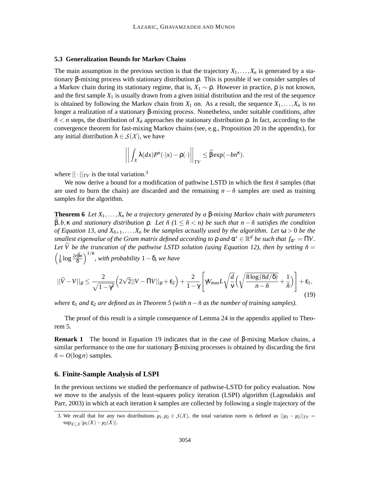#### **5.3 Generalization Bounds for Markov Chains**

The main assumption in the previous section is that the trajectory  $X_1, \ldots, X_n$  is generated by a stationary β-mixing process with stationary distribution ρ. This is possible if we consider samples of a Markov chain during its stationary regime, that is, *X*<sup>1</sup> ∼ ρ. However in practice, ρ is not known, and the first sample  $X_1$  is usually drawn from a given initial distribution and the rest of the sequence is obtained by following the Markov chain from  $X_1$  on. As a result, the sequence  $X_1, \ldots, X_n$  is no longer a realization of a stationary β-mixing process. Nonetheless, under suitable conditions, after  $n \leq n$  steps, the distribution of  $X_{n}$  approaches the stationary distribution *p*. In fact, according to the convergence theorem for fast-mixing Markov chains (see, e.g., Proposition 20 in the appendix), for any initial distribution  $\lambda \in S(\mathcal{X})$ , we have

$$
\left\| \int_X \lambda(dx) P^{n}(\cdot|x) - \rho(\cdot) \right\|_{TV} \leq \bar{\beta} \exp(-bn^{\kappa}).
$$

where  $|| \cdot ||_{TV}$  is the total variation.<sup>3</sup>

We now derive a bound for a modification of pathwise LSTD in which the first  $\tilde{n}$  samples (that are used to burn the chain) are discarded and the remaining  $n - \tilde{n}$  samples are used as training samples for the algorithm.

**Theorem 6** *Let X*1,...,*X<sup>n</sup> be a trajectory generated by a* β*-mixing Markov chain with parameters*  $β, b, κ$  *and stationary distribution*  $ρ$ *. Let*  $ñ(1 ≤ *n* ≤ *n*)$  *be such that*  $n − *n*$  *satisfies the condition of Equation 13, and*  $X_{n+1},...,X_n$  *be the samples actually used by the algorithm. Let*  $\omega > 0$  *be the smallest eigenvalue of the Gram matrix defined according to*  $\rho$  *and*  $\alpha^* \in \mathbb{R}^d$  *be such that*  $f_{\alpha^*} = \Pi V$ *. Let*  $\tilde{V}$  *be the truncation of the pathwise LSTD solution (using Equation 12), then by setting*  $\tilde{n} =$  $\sqrt{1}$  $\frac{1}{b}$  log  $\frac{2e\bar{\beta}n}{\delta}$ δ 1/<sup>κ</sup> *, with probability* 1−δ*, we have*

$$
||\widetilde{V} - V||_{\rho} \le \frac{2}{\sqrt{1 - \gamma^2}} \left( 2\sqrt{2}||V - \Pi V||_{\rho} + \varepsilon_2 \right) + \frac{2}{1 - \gamma} \left[ \gamma V_{\text{max}} L \sqrt{\frac{d}{v}} \left( \sqrt{\frac{8\log(8d/\delta)}{n - \tilde{n}}} + \frac{1}{\tilde{n}} \right) \right] + \varepsilon_1,
$$
\n(19)

*where*  $\varepsilon_1$  *and*  $\varepsilon_2$  *are defined as in Theorem 5 (with n*− $\tilde{n}$  *as the number of training samples).* 

The proof of this result is a simple consequence of Lemma 24 in the appendix applied to Theorem 5.

**Remark 1** The bound in Equation 19 indicates that in the case of β-mixing Markov chains, a similar performance to the one for stationary β-mixing processes is obtained by discarding the first  $\tilde{n} = O(\log n)$  samples.

#### **6. Finite-Sample Analysis of LSPI**

In the previous sections we studied the performance of pathwise-LSTD for policy evaluation. Now we move to the analysis of the least-squares policy iteration (LSPI) algorithm (Lagoudakis and Parr, 2003) in which at each iteration *k* samples are collected by following a single trajectory of the

<sup>3.</sup> We recall that for any two distributions  $\mu_1, \mu_2 \in S(X)$ , the total variation norm is defined as  $||\mu_1 - \mu_2||_{TV} =$ sup*X*⊆*<sup>X</sup>* |*µ*1(*X*)−*µ*2(*X*)|.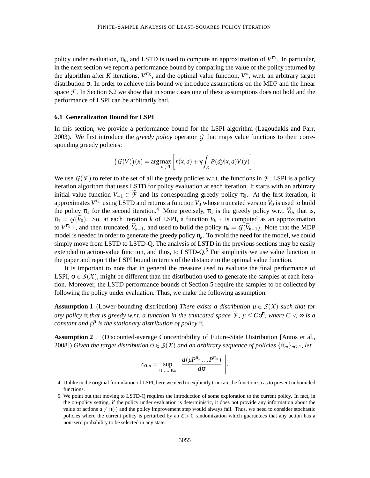policy under evaluation,  $\pi_k$ , and LSTD is used to compute an approximation of  $V^{\pi_k}$ . In particular, in the next section we report a performance bound by comparing the value of the policy returned by the algorithm after *K* iterations,  $V^{\pi_K}$ , and the optimal value function,  $V^*$ , w.r.t. an arbitrary target distribution σ. In order to achieve this bound we introduce assumptions on the MDP and the linear space  $\mathcal F$ . In Section 6.2 we show that in some cases one of these assumptions does not hold and the performance of LSPI can be arbitrarily bad.

#### **6.1 Generalization Bound for LSPI**

In this section, we provide a performance bound for the LSPI algorithm (Lagoudakis and Parr, 2003). We first introduce the *greedy policy* operator *G* that maps value functions to their corresponding greedy policies:

$$
(G(V))(x) = \arg \max_{a \in \mathcal{A}} \left[ r(x,a) + \gamma \int_{\mathcal{X}} P(dy|x,a)V(y) \right].
$$

We use  $G(\mathcal{F})$  to refer to the set of all the greedy policies w.r.t. the functions in  $\mathcal{F}$ . LSPI is a policy iteration algorithm that uses LSTD for policy evaluation at each iteration. It starts with an arbitrary initial value function  $V_{-1} \in \widetilde{\mathcal{F}}$  and its corresponding greedy policy  $\pi_0$ . At the first iteration, it approximates  $V^{\pi_0}$  using LSTD and returns a function  $V_0$  whose truncated version  $\widetilde{V}_0$  is used to build the policy  $\pi_1$  for the second iteration.<sup>4</sup> More precisely,  $\pi_1$  is the greedy policy w.r.t.  $V_0$ , that is,  $\pi_1 = G(\widetilde{V}_0)$ . So, at each iteration *k* of LSPI, a function  $V_{k-1}$  is computed as an approximation to  $V^{\pi_{k-1}}$ , and then truncated,  $\widetilde{V}_{k-1}$ , and used to build the policy  $\pi_k = \mathcal{G}(\widetilde{V}_{k-1})$ . Note that the MDP model is needed in order to generate the greedy policy  $\pi_k$ . To avoid the need for the model, we could simply move from LSTD to LSTD-Q. The analysis of LSTD in the previous sections may be easily extended to action-value function, and thus, to LSTD- $Q<sup>5</sup>$  For simplicity we use value function in the paper and report the LSPI bound in terms of the distance to the optimal value function.

It is important to note that in general the measure used to evaluate the final performance of LSPI,  $\sigma \in \mathcal{S}(\mathcal{X})$ , might be different than the distribution used to generate the samples at each iteration. Moreover, the LSTD performance bounds of Section 5 require the samples to be collected by following the policy under evaluation. Thus, we make the following assumption.

**Assumption 1** (Lower-bounding distribution) *There exists a distribution*  $\mu \in S(X)$  *such that for*  $a$  *any policy*  $\pi$  *that is greedy w.r.t. a function in the truncated space*  $\widetilde{\mathcal{F}}$ ,  $\mu \leq Cp^{\pi}$ , where  $C < \infty$  *is a constant and* ρ π *is the stationary distribution of policy* π*.*

**Assumption 2** *.* (Discounted-average Concentrability of Future-State Distribution [Antos et al., 2008]) *Given the target distribution*  $\sigma \in S(X)$  *and an arbitrary sequence of policies*  $\{\pi_m\}_{m\geq 1}$ *, let* 

$$
c_{\sigma,\mu} = \sup_{\pi_1,\ldots,\pi_m} \left| \left| \frac{d(\mu^{p\pi_1}\ldots P^{\pi_m})}{d\sigma} \right| \right|.
$$

<sup>4.</sup> Unlike in the original formulation of LSPI, here we need to explicitly truncate the function so as to prevent unbounded functions.

<sup>5.</sup> We point out that moving to LSTD-Q requires the introduction of some exploration to the current policy. In fact, in the on-policy setting, if the policy under evaluation is deterministic, it does not provide any information about the value of actions  $a \neq \pi(\cdot)$  and the policy improvement step would always fail. Thus, we need to consider stochastic policies where the current policy is perturbed by an  $\varepsilon > 0$  randomization which guarantees that any action has a non-zero probability to be selected in any state.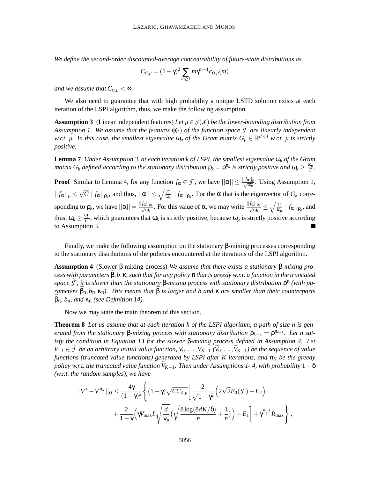*We define the second-order discounted-average concentrability of future-state distributions as*

$$
C_{\sigma,\mu} = (1 - \gamma)^2 \sum_{m \ge 1} m \gamma^{m-1} c_{\sigma,\mu}(m)
$$

*and we assume that*  $C_{\sigma,\mu} < \infty$ *.* 

We also need to guarantee that with high probability a unique LSTD solution exists at each iteration of the LSPI algorithm, thus, we make the following assumption.

**Assumption 3** (Linear independent features) *Let*  $\mu \in S(X)$  *be the lower-bounding distribution from Assumption 1. We assume that the features* φ(·) *of the function space F are linearly independent w.r.t.*  $\mu$ . In this case, the smallest eigenvalue  $\omega_{\mu}$  *of the Gram matrix*  $G_{\mu} \in \mathbb{R}^{d \times d}$  *w.r.t.*  $\mu$  is strictly *positive.*

**Lemma 7** *Under Assumption 3, at each iteration k of LSPI, the smallest eigenvalue* ω*<sup>k</sup> of the Gram matrix*  $G_k$  *defined according to the stationary distribution*  $\rho_k = \rho^{\pi_k}$  *is strictly positive and*  $\omega_k \geq \frac{\omega_\mu}{C}$  $\frac{\omega_\mu}{C}$ .

**Proof** Similar to Lemma 4, for any function  $f_{\alpha} \in \mathcal{F}$ , we have  $||\alpha|| \leq \frac{||f_{\alpha}||_{\mu}}{\sqrt{\omega_{\mu}}}$ . Using Assumption 1,  $||f_{\alpha}||_{\mu} \leq \sqrt{C} ||f_{\alpha}||_{\rho_k}$ , and thus,  $||\alpha|| \leq \sqrt{\frac{C}{\omega_{\mu}}} ||f_{\alpha}||_{\rho_k}$ . For the  $\alpha$  that is the eigenvector of  $G_k$  corresponding to  $\rho_k$ , we have  $||\alpha|| = \frac{||f_\alpha||_{\rho_k}}{\sqrt{\omega_k}}$ . For this value of  $\alpha$ , we may write  $\frac{||f_\alpha||_{\rho_k}}{\sqrt{\omega_k}} \le$  $\sqrt{c}$  $\frac{C}{\omega_{\mu}}\,||f_{\alpha}||_{\rho_{k}},$  and thus,  $\omega_k \geq \frac{\omega_\mu}{C}$  $\frac{\partial \mu}{\partial C}$ , which guarantees that  $\omega_k$  is strictly positive, because  $\omega_\mu$  is strictly positive according to Assumption 3.

Finally, we make the following assumption on the stationary β-mixing processes corresponding to the stationary distributions of the policies encountered at the iterations of the LSPI algorithm.

**Assumption 4** (Slower β-mixing process) *We assume that there exists a stationary* β*-mixing pro* $c$ *ess with parameters*  $\beta$ ,*b*,  $\kappa$ *, such that for any policy*  $\pi$  *that is greedy w.r.t. a function in the truncated space*  $\overline{\mathcal{F}}$ , *it is slower than the stationary* β-mixing process with stationary distribution  $ρ$ <sup>π</sup> (with pa*rameters*  $\bar{\beta}_{\pi}, b_{\pi}, \kappa_{\pi}$ ). This means that  $\bar{\beta}$  is larger and b and  $\kappa$  are smaller than their counterparts  $\beta_{\pi}$ *, b<sub>π</sub>, and*  $\kappa_{\pi}$  *(see Definition 14).* 

Now we may state the main theorem of this section.

**Theorem 8** *Let us assume that at each iteration k of the LSPI algorithm, a path of size n is generated from the stationary* β-*mixing process with stationary distribution*  $ρ<sub>k−1</sub> = ρ<sup>π<sub>k−1</sub></sup>$ *. Let n satisfy the condition in Equation 13 for the slower* β*-mixing process defined in Assumption 4. Let V*−1 ∈  $\widetilde{\mathcal{F}}$  *be an arbitrary initial value function, V*<sub>0</sub>,...,*V*<sub>*K*−1</sub> ( $\widetilde{V}_0$ ,..., $\widetilde{V}_{K-1}$ ) *be the sequence of value functions (truncated value functions) generated by LSPI after K iterations, and* π<sub>K</sub> *be the greedy policy w.r.t. the truncated value function*  $\bar{V}_{K-1}$ *. Then under Assumptions 1-4, with probability* 1 –  $\delta$ *(w.r.t. the random samples), we have*

$$
||V^* - V^{\pi_K}||_{\sigma} \le \frac{4\gamma}{(1-\gamma)^2} \Biggl\{ (1+\gamma) \sqrt{CC_{\sigma,\mu}} \bigg[ \frac{2}{\sqrt{1-\gamma^2}} \Big( 2\sqrt{2}E_0(\mathcal{F}) + E_2 \Big) + \frac{2}{1-\gamma} \Big( \gamma W_{\text{max}} L \sqrt{\frac{d}{\nu_\mu}} \big( \sqrt{\frac{8 \log(8dK/\delta)}{n}} + \frac{1}{n} \big) \Big) + E_1 \Biggr] + \gamma^{\frac{K-1}{2}} R_{\text{max}} \Biggr\} ,
$$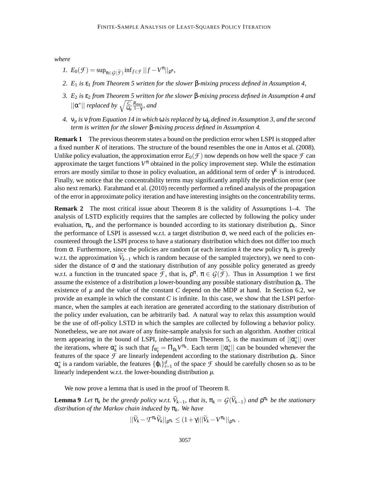*where*

- *1.*  $E_0(\mathcal{F}) = \sup_{\pi \in \mathcal{G}(\widetilde{\mathcal{F}})} \inf_{f \in \mathcal{F}} ||f V^{\pi}||_{\rho^{\pi}},$
- *2. E*<sup>1</sup> *is* ε<sup>1</sup> *from Theorem 5 written for the slower* β*-mixing process defined in Assumption 4,*
- *3. E*<sup>2</sup> *is* ε<sup>2</sup> *from Theorem 5 written for the slower* β*-mixing process defined in Assumption 4 and*  $||\alpha^*||$  *replaced by*  $\sqrt{\frac{C}{\omega_\mu}}$ *R*max 1−γ *, and*
- *4.* ν*<sup>µ</sup> is* ν *from Equation 14 in which* ω *is replaced by* ω*<sup>µ</sup> defined in Assumption 3, and the second term is written for the slower* β*-mixing process defined in Assumption 4.*

**Remark 1** The previous theorem states a bound on the prediction error when LSPI is stopped after a fixed number *K* of iterations. The structure of the bound resembles the one in Antos et al. (2008). Unlike policy evaluation, the approximation error  $E_0(\mathcal{F})$  now depends on how well the space  $\mathcal F$  can approximate the target functions  $V^{\pi}$  obtained in the policy improvement step. While the estimation errors are mostly similar to those in policy evaluation, an additional term of order  $\gamma^K$  is introduced. Finally, we notice that the concentrability terms may significantly amplify the prediction error (see also next remark). Farahmand et al. (2010) recently performed a refined analysis of the propagation of the error in approximate policy iteration and have interesting insights on the concentrability terms.

**Remark 2** The most critical issue about Theorem 8 is the validity of Assumptions 1–4. The analysis of LSTD explicitly requires that the samples are collected by following the policy under evaluation,  $\pi_k$ , and the performance is bounded according to its stationary distribution  $\rho_k$ . Since the performance of LSPI is assessed w.r.t. a target distribution  $\sigma$ , we need each of the policies encountered through the LSPI process to have a stationary distribution which does not differ too much from σ. Furthermore, since the policies are random (at each iteration *k* the new policy π*<sup>k</sup>* is greedy w.r.t. the approximation  $V_{k-1}$  which is random because of the sampled trajectory), we need to consider the distance of  $\sigma$  and the stationary distribution of any possible policy generated as greedy w.r.t. a function in the truncated space  $\mathcal{F}$ , that is,  $\rho^{\pi}$ ,  $\pi \in \mathcal{G}(\mathcal{F})$ . Thus in Assumption 1 we first assume the existence of a distribution  $\mu$  lower-bounding any possible stationary distribution  $\rho_k$ . The existence of  $\mu$  and the value of the constant *C* depend on the MDP at hand. In Section 6.2, we provide an example in which the constant *C* is infinite. In this case, we show that the LSPI performance, when the samples at each iteration are generated according to the stationary distribution of the policy under evaluation, can be arbitrarily bad. A natural way to relax this assumption would be the use of off-policy LSTD in which the samples are collected by following a behavior policy. Nonetheless, we are not aware of any finite-sample analysis for such an algorithm. Another critical term appearing in the bound of LSPI, inherited from Theorem 5, is the maximum of  $||\alpha_k^*||$  over the iterations, where  $\alpha_k^*$  is such that  $f_{\alpha_k^*} = \prod_{\rho_k} V^{\pi_k}$ . Each term  $||\alpha_k^*||$  can be bounded whenever the features of the space  $\mathcal F$  are linearly independent according to the stationary distribution  $\rho_k$ . Since  $\alpha_k^*$  is a random variable, the features  $\{\varphi_i\}_{i=1}^d$  of the space  $\mathcal F$  should be carefully chosen so as to be linearly independent w.r.t. the lower-bounding distribution *µ*.

We now prove a lemma that is used in the proof of Theorem 8.

**Lemma 9** *Let*  $\pi_k$  *be the greedy policy w.r.t.*  $\widetilde{V}_{k-1}$ *, that is,*  $\pi_k = \mathcal{G}(\widetilde{V}_{k-1})$  *and*  $\rho^{\pi_k}$  *be the stationary distribution of the Markov chain induced by* π*k. We have*

$$
||\widetilde{V}_k - T^{\pi_k}\widetilde{V}_k||_{\rho^{\pi_k}} \leq (1+\gamma)||\widetilde{V}_k - V^{\pi_k}||_{\rho^{\pi_k}}.
$$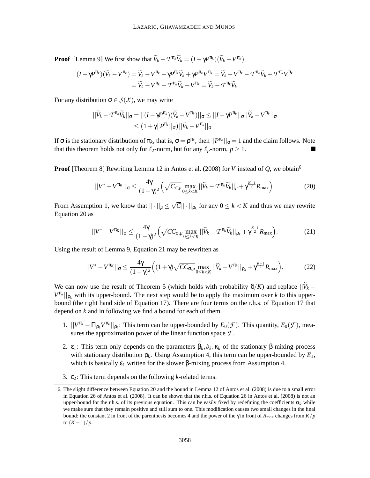**Proof** [Lemma 9] We first show that  $\widetilde{V}_k - T^{\pi_k} \widetilde{V}_k = (I - \gamma P^{\pi_k})(\widetilde{V}_k - V^{\pi_k})$ 

$$
(I - \gamma P^{\pi_k})(\widetilde{V}_k - V^{\pi_k}) = \widetilde{V}_k - V^{\pi_k} - \gamma P^{\pi_k}\widetilde{V}_k + \gamma P^{\pi_k}V^{\pi_k} = \widetilde{V}_k - V^{\pi_k} - T^{\pi_k}\widetilde{V}_k + T^{\pi_k}V^{\pi_k}
$$
  
=  $\widetilde{V}_k - V^{\pi_k} - T^{\pi_k}\widetilde{V}_k + V^{\pi_k} = \widetilde{V}_k - T^{\pi_k}\widetilde{V}_k$ .

For any distribution  $\sigma \in S(X)$ , we may write

$$
||\widetilde{V}_k - T^{\pi_k} \widetilde{V}_k||_{\sigma} = ||(I - \gamma P^{\pi_k})(\widetilde{V}_k - V^{\pi_k})||_{\sigma} \le ||I - \gamma P^{\pi_k}||_{\sigma} ||\widetilde{V}_k - V^{\pi_k}||_{\sigma}
$$
  

$$
\le (1 + \gamma ||P^{\pi_k}||_{\sigma}) ||\widetilde{V}_k - V^{\pi_k}||_{\sigma}
$$

If  $\sigma$  is the stationary distribution of  $\pi_k$ , that is,  $\sigma = \rho^{\pi_k}$ , then  $||P^{\pi_k}||_{\sigma} = 1$  and the claim follows. Note that this theorem holds not only for  $\ell_2$ -norm, but for any  $\ell_p$ -norm,  $p \geq 1$ .

**Proof** [Theorem 8] Rewriting Lemma 12 in Antos et al. (2008) for *V* instead of *Q*, we obtain<sup>6</sup>

$$
||V^* - V^{\pi_K}||_{\sigma} \le \frac{4\gamma}{(1-\gamma)^2} \left( \sqrt{C_{\sigma,\mu}} \max_{0 \le k < K} ||\widetilde{V}_k - T^{\pi_k} \widetilde{V}_k||_{\mu} + \gamma^{\frac{K-1}{2}} R_{\text{max}} \right). \tag{20}
$$

From Assumption 1, we know that  $|| \cdot ||_{\mu} \le \sqrt{C} || \cdot ||_{\rho_k}$  for any  $0 \le k < K$  and thus we may rewrite Equation 20 as

$$
||V^* - V^{\pi_K}||_{\sigma} \le \frac{4\gamma}{(1-\gamma)^2} \left( \sqrt{CC_{\sigma,\mu}} \max_{0 \le k < K} ||\widetilde{V}_k - T^{\pi_k} \widetilde{V}_k||_{\rho_k} + \gamma^{\frac{K-1}{2}} R_{\text{max}} \right). \tag{21}
$$

Using the result of Lemma 9, Equation 21 may be rewritten as

$$
||V^* - V^{\pi_K}||_{\sigma} \le \frac{4\gamma}{(1-\gamma)^2} \Big( (1+\gamma) \sqrt{CC_{\sigma,\mu}} \max_{0 \le k < K} ||\widetilde{V}_k - V^{\pi_k}||_{\rho_k} + \gamma^{\frac{K-1}{2}} R_{\text{max}} \Big). \tag{22}
$$

We can now use the result of Theorem 5 (which holds with probability  $\delta/K$ ) and replace  $||\widetilde{V}_k V^{\pi_k}$ ||<sub> $\rho_k$ </sub> with its upper-bound. The next step would be to apply the maximum over *k* to this upperbound (the right hand side of Equation 17). There are four terms on the r.h.s. of Equation 17 that depend on *k* and in following we find a bound for each of them.

- 1.  $||V^{\pi_k} \Pi_{\rho_k} V^{\pi_k}||_{\rho_k}$ : This term can be upper-bounded by  $E_0(\mathcal{F})$ . This quantity,  $E_0(\mathcal{F})$ , measures the approximation power of the linear function space *F* .
- 2.  $ε_1$ : This term only depends on the parameters  $\bar{\beta}_k$ ,  $b_k$ ,  $κ_k$  of the stationary β-mixing process with stationary distribution  $\rho_k$ . Using Assumption 4, this term can be upper-bounded by  $E_1$ , which is basically  $\varepsilon_1$  written for the slower β-mixing process from Assumption 4.
- 3. ε2: This term depends on the following *k*-related terms.

<sup>6.</sup> The slight difference between Equation 20 and the bound in Lemma 12 of Antos et al. (2008) is due to a small error in Equation 26 of Antos et al. (2008). It can be shown that the r.h.s. of Equation 26 in Antos et al. (2008) is not an upper-bound for the r.h.s. of its previous equation. This can be easily fixed by redefining the coefficients  $\alpha_k$  while we make sure that they remain positive and still sum to one. This modification causes two small changes in the final bound: the constant 2 in front of the parenthesis becomes 4 and the power of the  $\gamma$  in front of  $R_{\text{max}}$  changes from  $K/p$ to  $(K-1)/p$ .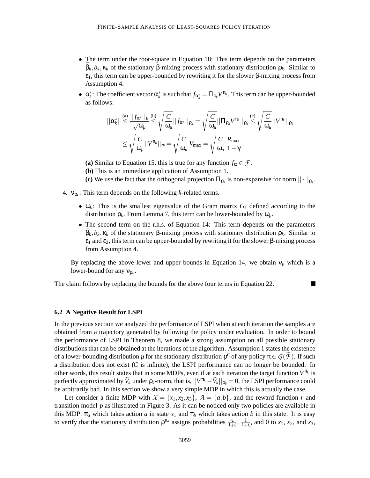- The term under the root-square in Equation 18: This term depends on the parameters ¯β*k*,*bk*,κ*<sup>k</sup>* of the stationary β-mixing process with stationary distribution ρ*k*. Similar to  $ε<sub>1</sub>$ , this term can be upper-bounded by rewriting it for the slower β-mixing process from Assumption 4.
- $\alpha_k^*$ : The coefficient vector  $\alpha_k^*$  is such that  $f_{\alpha_k^*} = \Pi_{\rho_k} V^{\pi_k}$ . This term can be upper-bounded as follows:

$$
||\alpha_k^*|| \stackrel{\text{(a)}}{\leq} \frac{||f_{\alpha^*}||_\mu}{\sqrt{\omega_\mu}} \stackrel{\text{(b)}}{\leq} \sqrt{\frac{C}{\omega_\mu}} ||f_{\alpha^*}||_{\rho_k} = \sqrt{\frac{C}{\omega_\mu}} ||\Pi_{\rho_k} V^{\pi_k}||_{\rho_k} \stackrel{\text{(c)}}{\leq} \sqrt{\frac{C}{\omega_\mu}} ||V^{\pi_k}||_{\rho_k}
$$

$$
\leq \sqrt{\frac{C}{\omega_\mu}} ||V^{\pi_k}||_{\infty} = \sqrt{\frac{C}{\omega_\mu}} V_{\text{max}} = \sqrt{\frac{C}{\omega_\mu}} \frac{R_{\text{max}}}{1 - \gamma}.
$$

**(a)** Similar to Equation 15, this is true for any function  $f_\alpha \in \mathcal{F}$ .

- **(b)** This is an immediate application of Assumption 1.
- (c) We use the fact that the orthogonal projection  $\Pi_{\rho_k}$  is non-expansive for norm  $||\cdot||_{\rho_k}$ .
- 4. νρ*<sup>k</sup>* : This term depends on the following *k*-related terms.
	- $\omega_k$ : This is the smallest eigenvalue of the Gram matrix  $G_k$  defined according to the distribution  $\rho_k$ . From Lemma 7, this term can be lower-bounded by  $\omega_u$ .
	- The second term on the r.h.s. of Equation 14: This term depends on the parameters ¯β*k*,*bk*,κ*<sup>k</sup>* of the stationary β-mixing process with stationary distribution ρ*k*. Similar to  $\varepsilon_1$  and  $\varepsilon_2$ , this term can be upper-bounded by rewriting it for the slower  $\beta$ -mixing process from Assumption 4.

By replacing the above lower and upper bounds in Equation 14, we obtain  $v_\mu$  which is a lower-bound for any  $v_{\rho_k}$ .

The claim follows by replacing the bounds for the above four terms in Equation 22.

#### **6.2 A Negative Result for LSPI**

In the previous section we analyzed the performance of LSPI when at each iteration the samples are obtained from a trajectory generated by following the policy under evaluation. In order to bound the performance of LSPI in Theorem 8, we made a strong assumption on all possible stationary distributions that can be obtained at the iterations of the algorithm. Assumption 1 states the existence of a lower-bounding distribution  $\mu$  for the stationary distribution  $\rho^{\pi}$  of any policy  $\pi \in \mathcal{G}(\mathcal{F})$ . If such a distribution does not exist (*C* is infinite), the LSPI performance can no longer be bounded. In other words, this result states that in some MDPs, even if at each iteration the target function  $V^{\pi_k}$  is perfectly approximated by  $\widehat{V}_k$  under  $\rho_k$ -norm, that is,  $||V^{\pi_k} - \widehat{V}_k||_{\rho_k} = 0$ , the LSPI performance could be arbitrarily bad. In this section we show a very simple MDP in which this is actually the case.

Let consider a finite MDP with  $X = \{x_1, x_2, x_3\}$ ,  $\mathcal{A} = \{a, b\}$ , and the reward function *r* and transition model *p* as illustrated in Figure 3. As it can be noticed only two policies are available in this MDP:  $\pi_a$  which takes action *a* in state  $x_1$  and  $\pi_b$  which takes action *b* in this state. It is easy to verify that the stationary distribution  $\rho^{\pi_a}$  assigns probabilities  $\frac{\varepsilon}{1+\varepsilon}$ ,  $\frac{1}{1+\varepsilon}$  $\frac{1}{1+\epsilon}$ , and 0 to  $x_1$ ,  $x_2$ , and  $x_3$ ,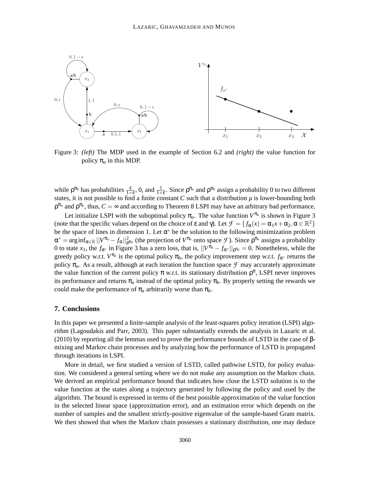

Figure 3: *(left)* The MDP used in the example of Section 6.2 and *(right)* the value function for policy  $\pi_a$  in this MDP.

while  $\rho^{\pi_b}$  has probabilities  $\frac{\varepsilon}{1+\varepsilon}$ , 0, and  $\frac{1}{1+\varepsilon}$ . Since  $\rho^{\pi_a}$  and  $\rho^{\pi_b}$  assign a probability 0 to two different states, it is not possible to find a finite constant *C* such that a distribution  $\mu$  is lower-bounding both  $\rho^{\pi_a}$  and  $\rho^{\pi_b}$ , thus,  $C = \infty$  and according to Theorem 8 LSPI may have an arbitrary bad performance.

Let initialize LSPI with the suboptimal policy  $\pi_a$ . The value function  $V^{\pi_a}$  is shown in Figure 3 (note that the specific values depend on the choice of  $\varepsilon$  and  $\gamma$ ). Let  $\mathcal{F} = \{f_\alpha(x) = \alpha_1 x + \alpha_2, \alpha \in \mathbb{R}^2\}$ be the space of lines in dimension 1. Let  $\alpha^*$  be the solution to the following minimization problem  $\alpha^* = \arg \inf_{\alpha \in \mathbb{R}} ||V^{\pi_a} - f_{\alpha}||^2_{\rho^{\pi_a}}$  (the projection of  $V^{\pi_a}$  onto space  $\mathcal{F}$ ). Since  $\rho^{\pi_a}$  assigns a probability 0 to state *x*<sub>3</sub>, the  $f_{\alpha^*}$  in Figure 3 has a zero loss, that is,  $||V^{\pi_a} - f_{\alpha^*}||_{\rho^{\pi_a}} = 0$ . Nonetheless, while the greedy policy w.r.t.  $V^{\pi_a}$  is the optimal policy  $\pi_b$ , the policy improvement step w.r.t.  $f_{\alpha^*}$  returns the policy  $\pi_a$ . As a result, although at each iteration the function space  $\mathcal F$  may accurately approximate the value function of the current policy  $\pi$  w.r.t. its stationary distribution  $\rho^{\pi}$ , LSPI never improves its performance and returns  $\pi_a$  instead of the optimal policy  $\pi_b$ . By properly setting the rewards we could make the performance of  $\pi_a$  arbitrarily worse than  $\pi_b$ .

#### **7. Conclusions**

In this paper we presented a finite-sample analysis of the least-squares policy iteration (LSPI) algorithm (Lagoudakis and Parr, 2003). This paper substantially extends the analysis in Lazaric et al.  $(2010)$  by reporting all the lemmas used to prove the performance bounds of LSTD in the case of βmixing and Markov chain processes and by analyzing how the performance of LSTD is propagated through iterations in LSPI.

More in detail, we first studied a version of LSTD, called pathwise LSTD, for policy evaluation. We considered a general setting where we do not make any assumption on the Markov chain. We derived an empirical performance bound that indicates how close the LSTD solution is to the value function at the states along a trajectory generated by following the policy and used by the algorithm. The bound is expressed in terms of the best possible approximation of the value function in the selected linear space (approximation error), and an estimation error which depends on the number of samples and the smallest strictly-positive eigenvalue of the sample-based Gram matrix. We then showed that when the Markov chain possesses a stationary distribution, one may deduce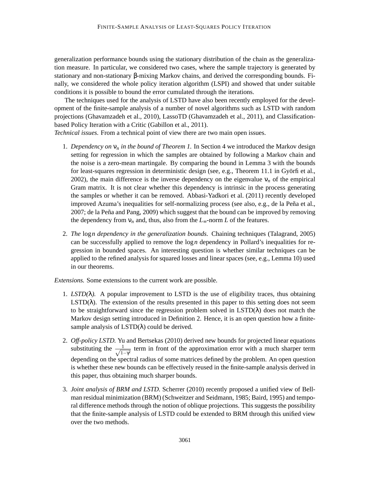generalization performance bounds using the stationary distribution of the chain as the generalization measure. In particular, we considered two cases, where the sample trajectory is generated by stationary and non-stationary β-mixing Markov chains, and derived the corresponding bounds. Finally, we considered the whole policy iteration algorithm (LSPI) and showed that under suitable conditions it is possible to bound the error cumulated through the iterations.

The techniques used for the analysis of LSTD have also been recently employed for the development of the finite-sample analysis of a number of novel algorithms such as LSTD with random projections (Ghavamzadeh et al., 2010), LassoTD (Ghavamzadeh et al., 2011), and Classificationbased Policy Iteration with a Critic (Gabillon et al., 2011).

*Technical issues.* From a technical point of view there are two main open issues.

- 1. *Dependency on* ν*<sup>n</sup> in the bound of Theorem 1.* In Section 4 we introduced the Markov design setting for regression in which the samples are obtained by following a Markov chain and the noise is a zero-mean martingale. By comparing the bound in Lemma 3 with the bounds for least-squares regression in deterministic design (see, e.g., Theorem 11.1 in Györfi et al., 2002), the main difference is the inverse dependency on the eigenvalue  $v_n$  of the empirical Gram matrix. It is not clear whether this dependency is intrinsic in the process generating the samples or whether it can be removed. Abbasi-Yadkori et al. (2011) recently developed improved Azuma's inequalities for self-normalizing process (see also, e.g., de la Peña et al., 2007; de la Peña and Pang, 2009) which suggest that the bound can be improved by removing the dependency from  $v_n$  and, thus, also from the  $L_{\infty}$ -norm  $L$  of the features.
- 2. *The* log*n dependency in the generalization bounds.* Chaining techniques (Talagrand, 2005) can be successfully applied to remove the log*n* dependency in Pollard's inequalities for regression in bounded spaces. An interesting question is whether similar techniques can be applied to the refined analysis for squared losses and linear spaces (see, e.g., Lemma 10) used in our theorems.

*Extensions.* Some extensions to the current work are possible.

- 1. *LSTD(* $\lambda$ *).* A popular improvement to LSTD is the use of eligibility traces, thus obtaining  $\text{LSTD}(\lambda)$ . The extension of the results presented in this paper to this setting does not seem to be straightforward since the regression problem solved in  $LSTD(\lambda)$  does not match the Markov design setting introduced in Definition 2. Hence, it is an open question how a finitesample analysis of  $LSTD(\lambda)$  could be derived.
- 2. *Off-policy LSTD.* Yu and Bertsekas (2010) derived new bounds for projected linear equations substituting the  $\frac{1}{\sqrt{1}}$  $\frac{1}{1-\gamma^2}$  term in front of the approximation error with a much sharper term depending on the spectral radius of some matrices defined by the problem. An open question is whether these new bounds can be effectively reused in the finite-sample analysis derived in this paper, thus obtaining much sharper bounds.
- 3. *Joint analysis of BRM and LSTD.* Scherrer (2010) recently proposed a unified view of Bellman residual minimization (BRM) (Schweitzer and Seidmann, 1985; Baird, 1995) and temporal difference methods through the notion of oblique projections. This suggests the possibility that the finite-sample analysis of LSTD could be extended to BRM through this unified view over the two methods.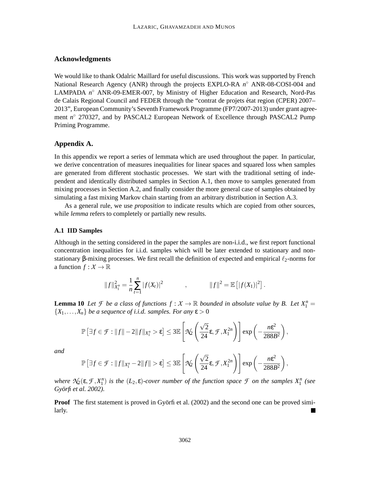## **Acknowledgments**

We would like to thank Odalric Maillard for useful discussions. This work was supported by French National Research Agency (ANR) through the projects EXPLO-RA *n*<sup>○</sup> ANR-08-COSI-004 and LAMPADA *n* ◦ ANR-09-EMER-007, by Ministry of Higher Education and Research, Nord-Pas de Calais Regional Council and FEDER through the "contrat de projets etat region (CPER) 2007– ´ 2013", European Community's Seventh Framework Programme (FP7/2007-2013) under grant agreement *n* ◦ 270327, and by PASCAL2 European Network of Excellence through PASCAL2 Pump Priming Programme.

#### **Appendix A.**

In this appendix we report a series of lemmata which are used throughout the paper. In particular, we derive concentration of measures inequalities for linear spaces and squared loss when samples are generated from different stochastic processes. We start with the traditional setting of independent and identically distributed samples in Section A.1, then move to samples generated from mixing processes in Section A.2, and finally consider the more general case of samples obtained by simulating a fast mixing Markov chain starting from an arbitrary distribution in Section A.3.

As a general rule, we use *proposition* to indicate results which are copied from other sources, while *lemma* refers to completely or partially new results.

#### **A.1 IID Samples**

Although in the setting considered in the paper the samples are non-i.i.d., we first report functional concentration inequalities for i.i.d. samples which will be later extended to stationary and nonstationary β-mixing processes. We first recall the definition of expected and empirical  $\ell_2$ -norms for a function  $f: X \to \mathbb{R}$ 

$$
||f||_{X_1^n}^2 = \frac{1}{n} \sum_{t=1}^n |f(X_t)|^2 \qquad , \qquad ||f||^2 = \mathbb{E} [ |f(X_1)|^2].
$$

**Lemma 10** *Let F be a class of functions*  $f: X \to \mathbb{R}$  *bounded in absolute value by B. Let*  $X_1^n =$  ${X_1, \ldots, X_n}$  *be a sequence of i.i.d. samples. For any*  $\varepsilon > 0$ 

$$
\mathbb{P}\left[\exists f\in\mathcal{F}:||f||-2||f||_{X_1^n}>\epsilon\right]\leq 3\mathbb{E}\left[\mathcal{N}_2\left(\frac{\sqrt{2}}{24}\epsilon,\mathcal{F},X_1^{2n}\right)\right]\exp\left(-\frac{n\epsilon^2}{288B^2}\right),
$$

*and*

$$
\mathbb{P}\left[\exists f \in \mathcal{F}: \|f\|_{X_1^n} - 2\|f\| > \epsilon\right] \leq 3\mathbb{E}\left[\mathcal{N}_2\left(\frac{\sqrt{2}}{24}\epsilon, \mathcal{F}, X_1^{2n}\right)\right] \exp\left(-\frac{n\epsilon^2}{288B^2}\right),
$$

*where*  $\mathcal{N}_2(\varepsilon, \mathcal{F}, X_1^n)$  *is the*  $(L_2, \varepsilon)$ *-cover number of the function space*  $\mathcal{F}$  *on the samples*  $X_1^n$  (see *Gyorfi et al. 2002). ¨*

**Proof** The first statement is proved in Györfi et al. (2002) and the second one can be proved similarly.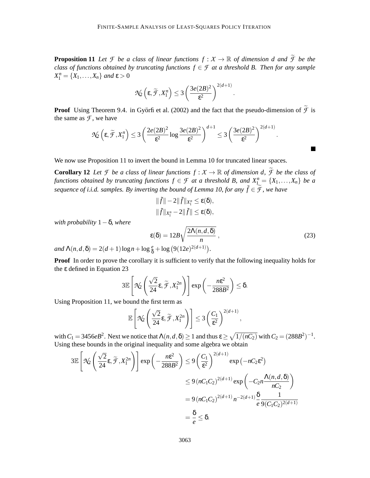**Proposition 11** Let *F* be a class of linear functions  $f: X \to \mathbb{R}$  of dimension d and  $\widetilde{f}$  be the *class of functions obtained by truncating functions*  $f \in \mathcal{F}$  *at a threshold B. Then for any sample*  $X_1^n = \{X_1, \ldots, X_n\}$  *and*  $\varepsilon > 0$ 

$$
\mathcal{N}_2\left(\varepsilon,\widetilde{\mathcal{F}},X_1^n\right)\leq 3\left(\frac{3e(2B)^2}{\varepsilon^2}\right)^{2(d+1)}
$$

**Proof** Using Theorem 9.4. in Györfi et al. (2002) and the fact that the pseudo-dimension of  $\widetilde{\mathcal{F}}$  is the same as  $\mathcal F$ , we have

$$
\mathcal{N}_2\left(\epsilon, \widetilde{\mathcal{F}}, X_1^n\right) \leq 3 \left(\frac{2e(2B)^2}{\epsilon^2}\log\frac{3e(2B)^2}{\epsilon^2}\right)^{d+1}\leq 3 \left(\frac{3e(2B)^2}{\epsilon^2}\right)^{2(d+1)}.
$$

We now use Proposition 11 to invert the bound in Lemma 10 for truncated linear spaces.

**Corollary 12** Let *F* be a class of linear functions  $f : X \to \mathbb{R}$  of dimension d,  $\widetilde{f}$  be the class of *functions obtained by truncating functions*  $f \in \mathcal{F}$  *at a threshold B, and*  $X_{1}^{n} = \{X_1, \ldots, X_n\}$  *be a sequence of i.i.d. samples. By inverting the bound of Lemma 10, for any*  $\tilde{f} \in \tilde{\mathcal{F}}$ *, we have* 

$$
\begin{aligned}\n\|\tilde{f}\| - 2\|\tilde{f}\|_{X_1^n} &\leq \epsilon(\delta), \\
\|\tilde{f}\|_{X_1^n} - 2\|\tilde{f}\| &\leq \epsilon(\delta),\n\end{aligned}
$$

*with probability* 1−δ*, where*

$$
\varepsilon(\delta) = 12B\sqrt{\frac{2\Lambda(n, d, \delta)}{n}},
$$
\n
$$
\frac{\varepsilon}{2} + \log\left(\frac{9(12e)^{2(d+1)}}{n}\right),
$$
\n(23)

.

2(*d*+1)

 $\overline{\phantom{a}}$ 

*and*  $\Lambda(n,d,\delta) = 2(d+1)\log n + \log \frac{e}{\delta} + \log (9(12e))$  $2(d+1)$ .

Proof In order to prove the corollary it is sufficient to verify that the following inequality holds for the ε defined in Equation 23

$$
3\mathbb{E}\left[\mathcal{N}_2\left(\frac{\sqrt{2}}{24}\varepsilon,\widetilde{\mathcal{F}},X_1^{2n}\right)\right]\exp\left(-\frac{n\varepsilon^2}{288B^2}\right)\leq \delta.
$$

Using Proposition 11, we bound the first term as

$$
\mathbb{E}\left[\mathcal{N}_2\left(\frac{\sqrt{2}}{24}\epsilon,\widetilde{\mathcal{F}},X_1^{2n}\right)\right] \leq 3\left(\frac{C_1}{\epsilon^2}\right)^{2(d+1)},
$$

with  $C_1 = 3456eB^2$ . Next we notice that  $\Lambda(n, d, \delta) \ge 1$  and thus  $\varepsilon \ge \sqrt{1/(nC_2)}$  with  $C_2 = (288B^2)^{-1}$ . Using these bounds in the original inequality and some algebra we obtain

$$
3\mathbb{E}\left[\mathcal{N}_2\left(\frac{\sqrt{2}}{24}\varepsilon, \widetilde{\mathcal{F}}, X_1^{2n}\right)\right] \exp\left(-\frac{n\varepsilon^2}{288B^2}\right) \le 9\left(\frac{C_1}{\varepsilon^2}\right)^{2(d+1)} \exp\left(-nC_2\varepsilon^2\right)
$$
  

$$
\le 9\left(nC_1C_2\right)^{2(d+1)} \exp\left(-C_2n\frac{\Lambda(n, d, \delta)}{nC_2}\right)
$$
  

$$
= 9\left(nC_1C_2\right)^{2(d+1)} n^{-2(d+1)} \frac{\delta}{e} \frac{1}{9(C_1C_2)^{2(d+1)}}
$$
  

$$
= \frac{\delta}{e} \le \delta.
$$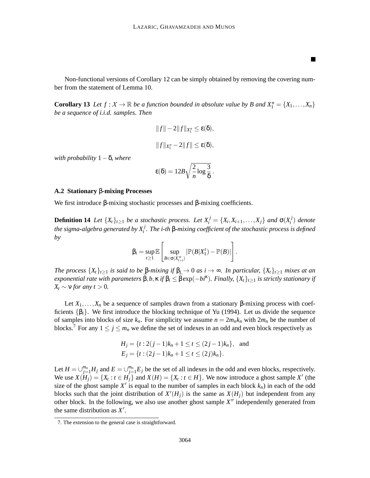Non-functional versions of Corollary 12 can be simply obtained by removing the covering number from the statement of Lemma 10.

п

**Corollary 13** Let  $f: X \to \mathbb{R}$  be a function bounded in absolute value by B and  $X_1^n = \{X_1, \ldots, X_n\}$ *be a sequence of i.i.d. samples. Then*

$$
||f|| - 2||f||_{X_1^n} \le \varepsilon(\delta),
$$
  

$$
||f||_{X_1^n} - 2||f|| \le \varepsilon(\delta),
$$

*with probability* 1−δ*, where*

$$
\epsilon(\delta)=12B\sqrt{\frac{2}{n}\log\frac{3}{\delta}}\ .
$$

#### **A.2 Stationary** β**-mixing Processes**

We first introduce β-mixing stochastic processes and β-mixing coefficients.

**Definition 14** *Let*  $\{X_t\}_{t\geq1}$  *be a stochastic process. Let*  $X_i^j = \{X_i, X_{i+1}, \ldots, X_j\}$  *and*  $\sigma(X_i^j)$ *i* ) *denote the sigma-algebra generated by X <sup>j</sup> i . The i-th* β*-mixing coefficient of the stochastic process is defined by*

$$
\beta_i = \sup_{t \geq 1} \mathbb{E} \left[ \sup_{B \in \sigma(X_{t+i}^{\infty})} |\mathbb{P}(B|X_1^t) - \mathbb{P}(B)| \right].
$$

*The process*  $\{X_t\}_{t\geq 1}$  *is said to be*  $\beta$ *-mixing if*  $\beta_i \to 0$  *as i*  $\to \infty$ *. In particular,*  $\{X_t\}_{t\geq 1}$  *mixes at an*  $e$ xponential rate with parameters  $\vec{\beta}, b, \kappa$  if  $\beta_i \leq \vec{\beta}$  exp( $-b$ i<sup> $\kappa$ </sup>). Finally,  $\{X_t\}_{t\geq 1}$  is strictly stationary if  $X_t \sim v$  *for any t* > 0*.* 

Let  $X_1, \ldots, X_n$  be a sequence of samples drawn from a stationary  $\beta$ -mixing process with coefficients  $\{\beta_i\}$ . We first introduce the blocking technique of Yu (1994). Let us divide the sequence of samples into blocks of size  $k_n$ . For simplicity we assume  $n = 2m_n k_n$  with  $2m_n$  be the number of blocks.<sup>7</sup> For any  $1 \le j \le m_n$  we define the set of indexes in an odd and even block respectively as

$$
H_j = \{t : 2(j-1)k_n + 1 \le t \le (2j-1)k_n\}, \text{ and}
$$
  
\n
$$
E_j = \{t : (2j-1)k_n + 1 \le t \le (2j)k_n\}.
$$

Let  $H = \bigcup_{j=1}^{m_n} H_j$  and  $E = \bigcup_{j=1}^{m_n} E_j$  be the set of all indexes in the odd and even blocks, respectively. We use  $X(H_j) = \{X_t : t \in H_j\}$  and  $X(H) = \{X_t : t \in H\}$ . We now introduce a ghost sample X' (the size of the ghost sample  $X'$  is equal to the number of samples in each block  $k_n$ ) in each of the odd blocks such that the joint distribution of  $X'(H_j)$  is the same as  $X(H_j)$  but independent from any other block. In the following, we also use another ghost sample *X* ′′ independently generated from the same distribution as *X* ′ .

<sup>7.</sup> The extension to the general case is straightforward.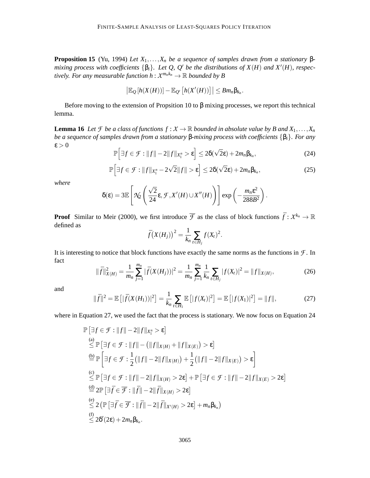**Proposition 15** (Yu, 1994) *Let*  $X_1, \ldots, X_n$  *be a sequence of samples drawn from a stationary* β*mixing process with coefficients* {β*i*}*. Let Q, Q*′ *be the distributions of X*(*H*) *and X*′ (*H*)*, respectively. For any measurable function*  $h: X^{m_n k_n} \to \mathbb{R}$  *bounded by B* 

$$
\left|\mathbb{E}_{Q}[h(X(H))]-\mathbb{E}_{Q'}[h(X'(H))]\right|\leq Bm_n\beta_{k_n}.
$$

Before moving to the extension of Propsition 10 to  $\beta$  mixing processes, we report this technical lemma.

**Lemma 16** *Let F be a class of functions*  $f : X \to \mathbb{R}$  *bounded in absolute value by B and*  $X_1, \ldots, X_n$ *be a sequence of samples drawn from a stationary* β*-mixing process with coefficients* {β*i*}*. For any*  $\varepsilon > 0$ 

$$
\mathbb{P}\Big[\exists f \in \mathcal{F}: ||f|| - 2||f||_{X_1^n} > \varepsilon\Big] \leq 2\delta(\sqrt{2}\varepsilon) + 2m_n\beta_{k_n},\tag{24}
$$

$$
\mathbb{P}\Big[\exists f \in \mathcal{F}: \|f\|_{X_1^n} - 2\sqrt{2}\|f\| > \varepsilon\Big] \le 2\delta(\sqrt{2}\varepsilon) + 2m_n\beta_{k_n},\tag{25}
$$

*where*

$$
\delta(\varepsilon) = 3\mathbb{E}\left[\mathcal{N}_2\left(\frac{\sqrt{2}}{24}\varepsilon, \mathcal{F}, X'(H) \cup X''(H)\right)\right] \exp\left(-\frac{m_n \varepsilon^2}{288B^2}\right).
$$

**Proof** Similar to Meir (2000), we first introduce  $\overline{\mathcal{F}}$  as the class of block functions  $\overline{f}: \mathcal{X}^{k_n} \to \mathbb{R}$ defined as

$$
\bar{f}(X(H_j))^{2} = \frac{1}{k_n} \sum_{t \in H_j} f(X_t)^{2}.
$$

It is interesting to notice that block functions have exactly the same norms as the functions in *F* . In fact

$$
\|\bar{f}\|_{X(H)}^2 = \frac{1}{m_n} \sum_{j=1}^{m_n} |\bar{f}(X(H_j))|^2 = \frac{1}{m_n} \sum_{j=1}^{m_n} \frac{1}{k_n} \sum_{t \in H_j} |f(X_t)|^2 = \|f\|_{X(H)},
$$
(26)

and

$$
\|\bar{f}\|^2 = \mathbb{E}\left[|\bar{f}(X(H_1))|^2\right] = \frac{1}{k_n} \sum_{t \in H_1} \mathbb{E}\left[|f(X_t)|^2\right] = \mathbb{E}\left[|f(X_1)|^2\right] = \|f\|,\tag{27}
$$

where in Equation 27, we used the fact that the process is stationary. We now focus on Equation 24

$$
\mathbb{P}\left[\exists f \in \mathcal{F}: ||f|| - 2||f||_{X_1^n} > \varepsilon\right]
$$
\n(a)\n
$$
\leq \mathbb{P}\left[\exists f \in \mathcal{F}: ||f|| - (||f||_{X(H)} + ||f||_{X(E)}) > \varepsilon\right]
$$
\n
$$
\stackrel{\text{(b)}}{=} \mathbb{P}\left[\exists f \in \mathcal{F}: \frac{1}{2}\left(||f|| - 2||f||_{X(H)}\right) + \frac{1}{2}\left(||f|| - 2||f||_{X(E)}\right) > \varepsilon\right]
$$
\n(c)\n
$$
\leq \mathbb{P}\left[\exists f \in \mathcal{F}: ||f|| - 2||f||_{X(H)} > 2\varepsilon\right] + \mathbb{P}\left[\exists f \in \mathcal{F}: ||f|| - 2||f||_{X(E)} > 2\varepsilon\right]
$$
\n
$$
\stackrel{\text{(d)}}{=} 2\mathbb{P}\left[\exists \overline{f} \in \overline{\mathcal{F}}: ||\overline{f}|| - 2||\overline{f}||_{X(H)} > 2\varepsilon\right]
$$
\n
$$
\leq 2\left(\mathbb{P}\left[\exists \overline{f} \in \overline{\mathcal{F}}: ||\overline{f}|| - 2||\overline{f}||_{X(H)} > 2\varepsilon\right] + m_n \beta_{k_n}\right)
$$
\n
$$
\stackrel{\text{(f)}}{=} 2\delta'(2\varepsilon) + 2m_n \beta_{k_n}.
$$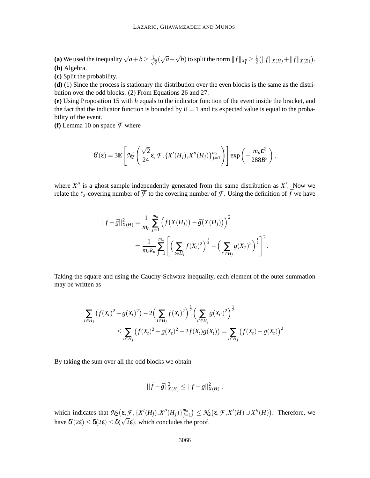**(a)** We used the inequality  $\sqrt{a+b} \ge \frac{1}{\sqrt{a}}$  $\frac{1}{2}(\sqrt{a}+\sqrt{b})$  to split the norm  $||f||_{X_1^n} \geq \frac{1}{2}$  $\frac{1}{2}$  (||f|| $X(H)$ +|| $f$ || $X(E)$ ). **(b)** Algebra.

**(c)** Split the probability.

**(d)** (1) Since the process is stationary the distribution over the even blocks is the same as the distribution over the odd blocks. (2) From Equations 26 and 27.

**(e)** Using Proposition 15 with *h* equals to the indicator function of the event inside the bracket, and the fact that the indicator function is bounded by  $B = 1$  and its expected value is equal to the probability of the event.

**(f)** Lemma 10 on space  $\overline{\mathcal{F}}$  where

$$
\delta'(\varepsilon) = 3\mathbb{E}\left[\mathcal{N}_2\left(\frac{\sqrt{2}}{24}\varepsilon,\overline{\mathcal{F}},\{X'(H_j),X''(H_j)\}_{j=1}^{m_n}\right)\right]\exp\left(-\frac{m_n\varepsilon^2}{288B^2}\right),\,
$$

where  $X''$  is a ghost sample independently generated from the same distribution as  $X'$ . Now we relate the  $\ell_2$ -covering number of  $\overline{\mathcal{F}}$  to the covering number of  $\mathcal{F}$ . Using the definition of  $\overline{f}$  we have

$$
\begin{split} ||\bar{f} - \bar{g}||_{X(H)}^2 &= \frac{1}{m_n} \sum_{j=1}^{m_n} \left( \bar{f}\big(X(H_j)\big) - \bar{g}\big(X(H_j)\big) \right)^2 \\ &= \frac{1}{m_n k_n} \sum_{j=1}^{m_n} \left[ \left( \sum_{t \in H_j} f(X_t)^2 \right)^{\frac{1}{2}} - \left( \sum_{t' \in H_j} g(X_{t'})^2 \right)^{\frac{1}{2}} \right]^2. \end{split}
$$

Taking the square and using the Cauchy-Schwarz inequality, each element of the outer summation may be written as

$$
\sum_{t \in H_j} (f(X_t)^2 + g(X_t)^2) - 2 \Big( \sum_{t \in H_j} f(X_t)^2 \Big)^{\frac{1}{2}} \Big( \sum_{t' \in H_j} g(X_{t'})^2 \Big)^{\frac{1}{2}} \leq \sum_{t \in H_j} (f(X_t)^2 + g(X_t)^2 - 2f(X_t)g(X_t)) = \sum_{t \in H_j} (f(X_t) - g(X_t))^2.
$$

By taking the sum over all the odd blocks we obtain

$$
||\bar{f} - \bar{g}||^2_{X(H)} \le ||f - g||^2_{X(H)},
$$

which indicates that  $\mathcal{N}_2(\varepsilon, \overline{\mathcal{F}}, \{X'(H_j), X''(H_j)\}_{j=1}^{m_n}) \leq \mathcal{N}_2(\varepsilon, \mathcal{F}, X'(H) \cup X''(H))$ . Therefore, we have  $\delta'(2\varepsilon) \leq \delta(2\varepsilon) \leq \delta(\sqrt{2}\varepsilon)$ , which concludes the proof.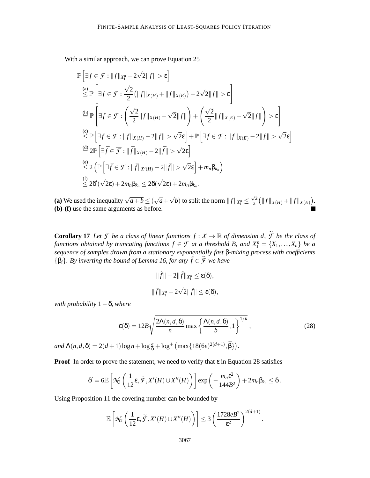With a similar approach, we can prove Equation 25

$$
\mathbb{P}\left[\exists f \in \mathcal{F}: ||f||_{X_1^n} - 2\sqrt{2}||f|| > \varepsilon\right]
$$
\n
$$
\stackrel{(a)}{\leq} \mathbb{P}\left[\exists f \in \mathcal{F}: \frac{\sqrt{2}}{2}\left(||f||_{X(H)} + ||f||_{X(E)}\right) - 2\sqrt{2}||f|| > \varepsilon\right]
$$
\n
$$
\stackrel{(b)}{=} \mathbb{P}\left[\exists f \in \mathcal{F}: \left(\frac{\sqrt{2}}{2}||f||_{X(H)} - \sqrt{2}||f||\right) + \left(\frac{\sqrt{2}}{2}||f||_{X(E)} - \sqrt{2}||f||\right) > \varepsilon\right]
$$
\n
$$
\stackrel{(c)}{\leq} \mathbb{P}\left[\exists f \in \mathcal{F}: ||f||_{X(H)} - 2||f|| > \sqrt{2}\varepsilon\right] + \mathbb{P}\left[\exists f \in \mathcal{F}: ||f||_{X(E)} - 2||f|| > \sqrt{2}\varepsilon\right]
$$
\n
$$
\stackrel{(d)}{=} 2\mathbb{P}\left[\exists \overline{f} \in \overline{\mathcal{F}}: ||\overline{f}||_{X(H)} - 2||\overline{f}|| > \sqrt{2}\varepsilon\right]
$$
\n
$$
\stackrel{(e)}{\leq} 2\left(\mathbb{P}\left[\exists \overline{f} \in \overline{\mathcal{F}}: ||\overline{f}||_{X'(H)} - 2||\overline{f}|| > \sqrt{2}\varepsilon\right] + m_n \beta_{k_n}\right)
$$
\n
$$
\stackrel{(f)}{\leq} 2\delta'(\sqrt{2}\varepsilon) + 2m_n \beta_{k_n} \leq 2\delta(\sqrt{2}\varepsilon) + 2m_n \beta_{k_n}.
$$

(a) We used the inequality  $\sqrt{a+b} \leq (\sqrt{a} + \sqrt{b})$  to split the norm  $||f||_{X_1^n} \leq$  $\sqrt{2}$  $\frac{\sqrt{2}}{2}(\|f\|_{X(H)} + \|f\|_{X(E)}).$ **(b)**-**(f)** use the same arguments as before.

**Corollary 17** *Let F be a class of linear functions*  $f : X \to \mathbb{R}$  *of dimension d,*  $\widetilde{f}$  *be the class of functions obtained by truncating functions*  $f \in \mathcal{F}$  *at a threshold B, and*  $X_1^n = \{X_1, \ldots, X_n\}$  *be a sequence of samples drawn from a stationary exponentially fast* β*-mixing process with coefficients*  ${\beta_i}$ *. By inverting the bound of Lemma 16, for any*  $\tilde{f} \in \tilde{\mathcal{F}}$  *we have* 

$$
\|\tilde{f}\| - 2\|\tilde{f}\|_{X_1^n} \le \varepsilon(\delta),
$$
  

$$
\|\tilde{f}\|_{X_1^n} - 2\sqrt{2}\|\tilde{f}\| \le \varepsilon(\delta),
$$

*with probability* 1−δ*, where*

$$
\varepsilon(\delta) = 12B\sqrt{\frac{2\Lambda(n,d,\delta)}{n}\max\left\{\frac{\Lambda(n,d,\delta)}{b},1\right\}^{1/\kappa}},\tag{28}
$$

.

 $and \ \Lambda(n, d, \delta) = 2(d+1)\log n + \log \frac{e}{\delta} + \log^+ \left( \max\{18(6e)^{2(d+1)}, \bar{\beta}\} \right).$ 

**Proof** In order to prove the statement, we need to verify that  $\varepsilon$  in Equation 28 satisfies

$$
\delta' = 6\mathbb{E}\left[\mathcal{N}_2\left(\frac{1}{12}\varepsilon,\widetilde{\mathcal{F}},X'(H)\cup X''(H)\right)\right]\exp\left(-\frac{m_n\varepsilon^2}{144B^2}\right) + 2m_n\beta_{k_n} \leq \delta.
$$

Using Proposition 11 the covering number can be bounded by

$$
\mathbb{E}\left[\mathcal{N}_2\left(\frac{1}{12}\varepsilon,\widetilde{\mathcal{F}},X'(H)\cup X''(H)\right)\right] \leq 3\left(\frac{1728eB^2}{\varepsilon^2}\right)^{2(d+1)}
$$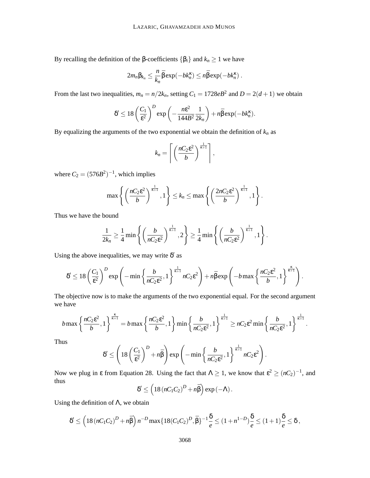By recalling the definition of the β-coefficients  ${β<sub>i</sub>}$  and  $k<sub>n</sub> ≥ 1$  we have

$$
2m_n\beta_{k_n}\leq \frac{n}{k_n}\bar{\beta}\exp(-bk_n^{\kappa})\leq n\bar{\beta}\exp(-bk_n^{\kappa}).
$$

From the last two inequalities,  $m_n = n/2k_n$ , setting  $C_1 = 1728eB^2$  and  $D = 2(d+1)$  we obtain

$$
\delta' \leq 18 \left(\frac{C_1}{\epsilon^2}\right)^D \exp\left(-\frac{n\epsilon^2}{144B^2} \frac{1}{2k_n}\right) + n\bar{\beta} \exp(-bk_n^{\kappa}).
$$

By equalizing the arguments of the two exponential we obtain the definition of  $k_n$  as

$$
k_n = \left\lceil \left( \frac{nC_2 \varepsilon^2}{b} \right)^{\frac{1}{\kappa+1}} \right\rceil,
$$

where  $C_2 = (576B^2)^{-1}$ , which implies

$$
\max\left\{\left(\frac{nC_2\epsilon^2}{b}\right)^{\frac{1}{\kappa+1}},1\right\}\leq k_n\leq \max\left\{\left(\frac{2nC_2\epsilon^2}{b}\right)^{\frac{1}{\kappa+1}},1\right\}.
$$

Thus we have the bound

$$
\frac{1}{2k_n} \ge \frac{1}{4} \min \left\{ \left( \frac{b}{nC_2 \varepsilon^2} \right)^{\frac{1}{\kappa+1}}, 2 \right\} \ge \frac{1}{4} \min \left\{ \left( \frac{b}{nC_2 \varepsilon^2} \right)^{\frac{1}{\kappa+1}}, 1 \right\}.
$$

Using the above inequalities, we may write  $\delta'$  as

$$
\delta' \leq 18 \left(\frac{C_1}{\epsilon^2}\right)^D \exp\left(-\min\left\{\frac{b}{nC_2\epsilon^2},1\right\}^{\frac{1}{\kappa+1}} nC_2\epsilon^2\right) + n\bar{\beta}\exp\left(-b\max\left\{\frac{nC_2\epsilon^2}{b},1\right\}^{\frac{\kappa}{\kappa+1}}\right).
$$

The objective now is to make the arguments of the two exponential equal. For the second argument we have

$$
b \max \left\{ \frac{nC_2 \varepsilon^2}{b}, 1 \right\}^{\frac{\kappa}{\kappa+1}} = b \max \left\{ \frac{nC_2 \varepsilon^2}{b}, 1 \right\} \min \left\{ \frac{b}{nC_2 \varepsilon^2}, 1 \right\}^{\frac{1}{\kappa+1}} \geq nC_2 \varepsilon^2 \min \left\{ \frac{b}{nC_2 \varepsilon^2}, 1 \right\}^{\frac{1}{\kappa+1}}.
$$

Thus

$$
\delta' \le \left(18\left(\frac{C_1}{\epsilon^2}\right)^D + n\bar{\beta}\right) \exp\left(-\min\left\{\frac{b}{nC_2\epsilon^2}, 1\right\}^{\frac{1}{\kappa+1}} nC_2\epsilon^2\right).
$$

Now we plug in  $\varepsilon$  from Equation 28. Using the fact that  $\Lambda \geq 1$ , we know that  $\varepsilon^2 \geq (nC_2)^{-1}$ , and thus

$$
\delta' \leq \left(18\left(nC_1C_2\right)^D + n\bar{\beta}\right)\exp\left(-\Lambda\right).
$$

Using the definition of  $\Lambda$ , we obtain

$$
\delta' \le \left(18 (nC_1C_2)^D + n\bar{\beta}\right) n^{-D} \max\{18 (C_1C_2)^D, \bar{\beta}\}^{-1} \frac{\delta}{e} \le (1+n^{1-D})\frac{\delta}{e} \le (1+1)\frac{\delta}{e} \le \delta,
$$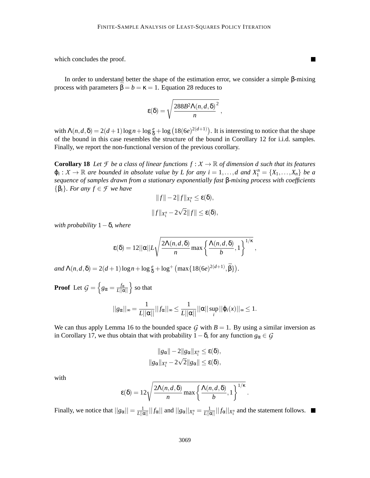which concludes the proof.

In order to understand better the shape of the estimation error, we consider a simple β-mixing process with parameters  $\bar{\beta} = b = \kappa = 1$ . Equation 28 reduces to

$$
\varepsilon(\delta) = \sqrt{\frac{288B^2\Lambda(n,d,\delta)^2}{n}},
$$

with  $\Lambda(n,d,\delta) = 2(d+1)\log n + \log \frac{e}{\delta} + \log(18(6e)^{2(d+1)})$ . It is interesting to notice that the shape of the bound in this case resembles the structure of the bound in Corollary 12 for i.i.d. samples. Finally, we report the non-functional version of the previous corollary.

**Corollary 18** Let *F* be a class of linear functions  $f : X \to \mathbb{R}$  of dimension d such that its features  $\varphi_i: X \to \mathbb{R}$  are bounded in absolute value by L for any  $i = 1, ..., d$  and  $X_1^n = \{X_1, ..., X_n\}$  be a *sequence of samples drawn from a stationary exponentially fast* β*-mixing process with coefficients* {β*i*}*. For any f* ∈ *F we have*

$$
||f|| - 2||f||_{X_1^n} \le \varepsilon(\delta),
$$
  

$$
||f||_{X_1^n} - 2\sqrt{2}||f|| \le \varepsilon(\delta),
$$

*with probability* 1−δ*, where*

$$
\varepsilon(\delta) = 12||\alpha||L\sqrt{\frac{2\Lambda(n,d,\delta)}{n}\max\left\{\frac{\Lambda(n,d,\delta)}{b},1\right\}^{1/\kappa}},
$$

 $and \ \Lambda(n, d, \delta) = 2(d+1)\log n + \log \frac{e}{\delta} + \log^+ \left( \max\{18(6e)^{2(d+1)}, \bar{\beta}\}\right).$ 

**Proof** Let  $G = \left\{ g_\alpha = \frac{f_\alpha}{L ||\alpha||} \right\}$  so that

$$
||g_{\alpha}||_{\infty} = \frac{1}{L||\alpha||}||f_{\alpha}||_{\infty} \leq \frac{1}{L||\alpha||}||\alpha|| \sup_{i} ||\varphi_{i}(x)||_{\infty} \leq 1.
$$

We can thus apply Lemma 16 to the bounded space  $G$  with  $B = 1$ . By using a similar inversion as in Corollary 17, we thus obtain that with probability  $1-\delta$ , for any function  $g_{\alpha} \in \mathcal{G}$ 

$$
||g_{\alpha}|| - 2||g_{\alpha}||_{X_1^n} \leq \varepsilon(\delta),
$$
  

$$
||g_{\alpha}||_{X_1^n} - 2\sqrt{2}||g_{\alpha}|| \leq \varepsilon(\delta),
$$

with

$$
\varepsilon(\delta) = 12 \sqrt{\frac{2\Lambda(n,d,\delta)}{n} \max \left\{ \frac{\Lambda(n,d,\delta)}{b}, 1 \right\}^{1/\kappa}}.
$$

Finally, we notice that  $||g_\alpha|| = \frac{1}{L||\alpha||}||f_\alpha||$  and  $||g_\alpha||_{X_1^n} = \frac{1}{L||\alpha||}||f_\alpha||_{X_1^n}$  and the statement follows.

 $\blacksquare$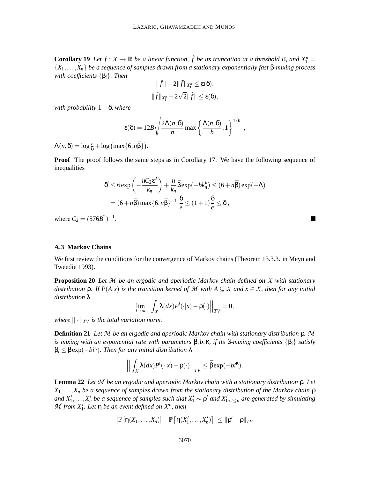**Corollary 19** Let  $f: X \to \mathbb{R}$  be a linear function,  $\tilde{f}$  be its truncation at a threshold B, and  $X_1^n =$ {*X*1,...,*Xn*} *be a sequence of samples drawn from a stationary exponentially fast* β*-mixing process with coefficients* {β*i*}*. Then*

$$
\|\tilde{f}\| - 2\|\tilde{f}\|_{X_1^n} \le \varepsilon(\delta),
$$
  

$$
\|\tilde{f}\|_{X_1^n} - 2\sqrt{2}\|\tilde{f}\| \le \varepsilon(\delta),
$$

*with probability* 1−δ*, where*

$$
\varepsilon(\delta) = 12B\sqrt{\frac{2\Lambda(n,\delta)}{n}\max\left\{\frac{\Lambda(n,\delta)}{b},1\right\}^{1/\kappa}},
$$

 $\Lambda(n,\delta) = \log \frac{e}{\delta} + \log \left( \max\{6, n\bar{\beta}\} \right).$ 

**Proof** The proof follows the same steps as in Corollary 17. We have the following sequence of inequalities

$$
\delta' \le 6 \exp\left(-\frac{nC_2\epsilon^2}{k_n}\right) + \frac{n}{k_n} \bar{\beta} \exp(-bk_n^{\kappa}) \le (6 + n\bar{\beta}) \exp(-\Lambda)
$$
  
=  $(6 + n\bar{\beta}) \max\{6, n\bar{\beta}\}^{-1} \frac{\delta}{e} \le (1 + 1) \frac{\delta}{e} \le \delta$ ,

where  $C_2 = (576B^2)^{-1}$ .

#### **A.3 Markov Chains**

We first review the conditions for the convergence of Markov chains (Theorem 13.3.3. in Meyn and Tweedie 1993).

**Proposition 20** *Let M be an ergodic and aperiodic Markov chain defined on X with stationary distribution* ρ*. If P*(*A*|*x*) *is the transition kernel of M with A* ⊆ *X and x* ∈ *X, then for any initial distribution* λ

$$
\lim_{i\to\infty}\left|\left|\int_X \lambda(dx)P^i(\cdot|x)-\rho(\cdot)\right|\right|_{TV}=0,
$$

*where*  $|| \cdot ||_{TV}$  *is the total variation norm.* 

**Definition 21** *Let M be an ergodic and aperiodic Markov chain with stationary distribution* ρ*. M is mixing with an exponential rate with parameters* ¯β,*b*,κ*, if its* <sup>β</sup>*-mixing coefficients* {β*i*} *satisfy*  $\beta_i \leq \bar{\beta} \exp(-bi^{\kappa})$ . Then for any initial distribution  $\lambda$ 

$$
\left| \left| \int_X \lambda(dx) P^i(\cdot|x) - \rho(\cdot) \right| \right|_{TV} \leq \bar{\beta} \exp(-bi^{\kappa}).
$$

**Lemma 22** *Let M be an ergodic and aperiodic Markov chain with a stationary distribution* ρ*. Let X*1,...,*X<sup>n</sup> be a sequence of samples drawn from the stationary distribution of the Markov chain* ρ *and*  $X'_1, \ldots, X'_n$  be a sequence of samples such that  $X'_1 \sim \rho'$  and  $X'_{1 \lt t \leq n}$  are generated by simulating  $M$  *from*  $X'_1$ *. Let*  $\eta$  *be an event defined on*  $X^n$ *, then* 

$$
\big|\mathbb{P}\left[\eta(X_1,\ldots,X_n)\right]-\mathbb{P}\left[\eta(X_1',\ldots,X_n')\right]\big|\leq \|\rho'-\rho\|_{TV}
$$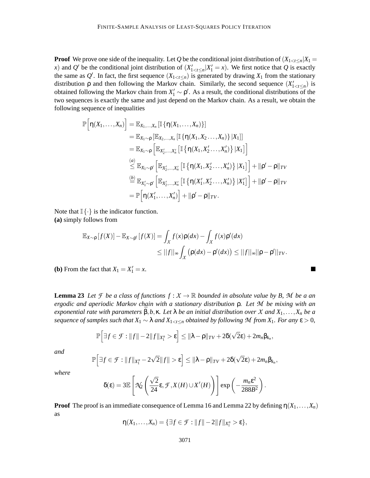**Proof** We prove one side of the inequality. Let *Q* be the conditional joint distribution of  $(X_{1 \lt t \lt n} | X_1 =$ *x*) and *Q*<sup> $\prime$ </sup> be the conditional joint distribution of  $(X'_{1 \le t \le n} | X'_{1} = x)$ . We first notice that *Q* is exactly the same as  $Q'$ . In fact, the first sequence  $(X_{1 \lt t \leq n})$  is generated by drawing  $X_1$  from the stationary distribution  $\rho$  and then following the Markov chain. Similarly, the second sequence  $(X'_{1 \lt t \leq n})$  is obtained following the Markov chain from  $X'_1 \sim \rho'$ . As a result, the conditional distributions of the two sequences is exactly the same and just depend on the Markov chain. As a result, we obtain the following sequence of inequalities

$$
\mathbb{P}\Big[\eta(X_1,\ldots,X_n)\Big] = \mathbb{E}_{X_1,\ldots,X_n}\left[\mathbb{I}\left\{\eta(X_1,\ldots,X_n)\right\}\right] \n= \mathbb{E}_{X_1\sim\rho}\left[\mathbb{E}_{X_2,\ldots,X_n}\left[\mathbb{I}\left\{\eta(X_1,X_2\ldots,X_n)\right\}|X_1\right]\right] \n= \mathbb{E}_{X_1\sim\rho}\left[\mathbb{E}_{X'_2,\ldots,X'_n}\left[\mathbb{I}\left\{\eta(X_1,X'_2\ldots,X'_n)\right\}|X_1\right]\right] \n\overset{(a)}{\leq} \mathbb{E}_{X_1\sim\rho'}\left[\mathbb{E}_{X'_2,\ldots,X'_n}\left[\mathbb{I}\left\{\eta(X_1,X'_2\ldots,X'_n)\right\}|X_1\right]\right] + \|\rho'-\rho\|_{TV} \n\overset{(b)}{=} \mathbb{E}_{X'_1\sim\rho'}\left[\mathbb{E}_{X'_2,\ldots,X'_n}\left[\mathbb{I}\left\{\eta(X'_1,X'_2\ldots,X'_n)\right\}|X'_1\right]\right] + \|\rho'-\rho\|_{TV} \n= \mathbb{P}\Big[\eta(X'_1,\ldots,X'_n)\Big] + \|\rho'-\rho\|_{TV}.
$$

Note that  $\mathbb{I}\{\cdot\}$  is the indicator function.

**(a)** simply follows from

$$
\mathbb{E}_{X \sim \rho} [f(X)] - \mathbb{E}_{X \sim \rho'} [f(X)] = \int_X f(x) \rho(dx) - \int_X f(x) \rho'(dx)
$$
  
\n
$$
\leq ||f||_{\infty} \int_X (\rho(dx) - \rho'(dx)) \leq ||f||_{\infty} ||\rho - \rho'||_{TV}.
$$

**(b)** From the fact that  $X_1 = X'_1 = x$ .

**Lemma 23** Let *F* be a class of functions  $f: X \to \mathbb{R}$  bounded in absolute value by B, M be a an *ergodic and aperiodic Markov chain with a stationary distribution* ρ*. Let M be mixing with an exponential rate with parameters*  $\bar{\beta}, b, \kappa$ *. Let*  $\lambda$  *be an initial distribution over X and*  $X_1, \ldots, X_n$  *be a sequence of samples such that*  $X_1 \sim \lambda$  *and*  $X_{1 \le t \le n}$  *obtained by following*  $M$  *from*  $X_1$ *. For any*  $\varepsilon > 0$ *,* 

$$
\mathbb{P}\Big[\exists f\in\mathcal{F}:||f||-2||f||_{X_1^n}>\varepsilon\Big]\leq ||\lambda-\rho||_{TV}+2\delta(\sqrt{2}\varepsilon)+2m_n\beta_{k_n},
$$

*and*

$$
\mathbb{P}\Big[\exists f\in\mathcal{F}:||f||_{X_1^n}-2\sqrt{2}||f||>\epsilon\Big]\leq ||\lambda-\rho||_{TV}+2\delta(\sqrt{2}\epsilon)+2m_n\beta_{k_n},
$$

*where*

$$
\delta(\varepsilon) = 3\mathbb{E}\left[\mathcal{N}_2\left(\frac{\sqrt{2}}{24}\varepsilon, \mathcal{F}, X(H) \cup X'(H)\right)\right] \exp\left(-\frac{m_n\varepsilon^2}{288B^2}\right).
$$

**Proof** The proof is an immediate consequence of Lemma 16 and Lemma 22 by defining  $\eta(X_1,\ldots,X_n)$ as

$$
\eta(X_1,\ldots,X_n)=\{\exists f\in\mathcal{F}:||f||-2||f||_{X_1^n}>\varepsilon\},\
$$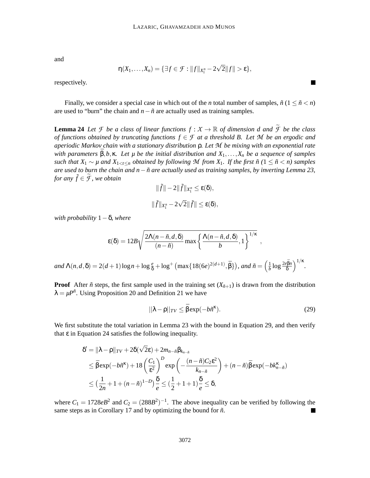and

$$
\eta(X_1,\ldots,X_n)=\{\exists f\in\mathcal{F}:||f||_{X_1^n}-2\sqrt{2}||f||>\epsilon\},\
$$

respectively.

Finally, we consider a special case in which out of the *n* total number of samples,  $\tilde{n}$  ( $1 \leq \tilde{n} < n$ ) are used to "burn" the chain and  $n - \tilde{n}$  are actually used as training samples.

**Lemma 24** *Let F be a class of linear functions*  $f: X \to \mathbb{R}$  *of dimension d and*  $\widetilde{f}$  *be the class of functions obtained by truncating functions*  $f \in \mathcal{F}$  *at a threshold B. Let*  $\mathcal M$  *be an ergodic and aperiodic Markov chain with a stationary distribution* ρ*. Let M be mixing with an exponential rate with parameters*  $\beta$ ,*b*, $\kappa$ *. Let*  $\mu$  *be the initial distribution and*  $X_1, \ldots, X_n$  *be a sequence of samples such that*  $X_1 \sim \mu$  *and*  $X_{1 \le t \le n}$  *obtained by following M from*  $X_1$ *. If the first*  $\tilde{n}$  ( $1 \le \tilde{n} \le n$ ) *samples* are used to burn the chain and n − ñ are actually used as training samples, by inverting Lemma 23, *for any*  $\tilde{f} \in \mathcal{F}$ *, we obtain* 

$$
\|\tilde{f}\| - 2\|\tilde{f}\|_{X_1^n} \le \varepsilon(\delta),
$$
  

$$
\|\tilde{f}\|_{X_1^n} - 2\sqrt{2}\|\tilde{f}\| \le \varepsilon(\delta),
$$

*with probability* 1−δ*, where*

$$
\varepsilon(\delta) = 12B\sqrt{\frac{2\Lambda(n-\tilde{n},d,\delta)}{(n-\tilde{n})}\max\left\{\frac{\Lambda(n-\tilde{n},d,\delta)}{b},1\right\}^{1/\kappa}},
$$
  
and  $\Lambda(n,d,\delta) = 2(d+1)\log n + \log\frac{e}{\delta} + \log^+\left(\max\{18(6e)^{2(d+1)},\bar{\beta}\}\right),$  and  $\tilde{n} = \left(\frac{1}{b}\log\frac{2e^{\tilde{\beta}n}}{\delta}\right)^{1/\kappa}.$ 

**Proof** After  $\tilde{n}$  steps, the first sample used in the training set  $(X_{\tilde{n}+1})$  is drawn from the distribution  $\lambda = \mu P^{\tilde{n}}$ . Using Proposition 20 and Definition 21 we have

$$
||\lambda - \rho||_{TV} \le \bar{\beta} \exp(-b\tilde{n}^{\kappa}).
$$
\n(29)

 $\blacksquare$ 

We first substitute the total variation in Lemma 23 with the bound in Equation 29, and then verify that  $\varepsilon$  in Equation 24 satisfies the following inequality.

$$
\delta' = \|\lambda - \rho\|_{TV} + 2\delta(\sqrt{2}\epsilon) + 2m_{n-\tilde{n}}\beta_{k_{n-\tilde{n}}} \n\leq \bar{\beta}\exp(-b\tilde{n}^{\kappa}) + 18\left(\frac{C_1}{\epsilon^2}\right)^D \exp\left(-\frac{(n-\tilde{n})C_2\epsilon^2}{k_{n-\tilde{n}}}\right) + (n-\tilde{n})\bar{\beta}\exp(-bk_{n-\tilde{n}}^{\kappa}) \n\leq (\frac{1}{2n} + 1 + (n-\tilde{n})^{1-D})\frac{\delta}{e} \leq (\frac{1}{2} + 1 + 1)\frac{\delta}{e} \leq \delta,
$$

where  $C_1 = 1728eB^2$  and  $C_2 = (288B^2)^{-1}$ . The above inequality can be verified by following the same steps as in Corollary 17 and by optimizing the bound for  $\tilde{n}$ .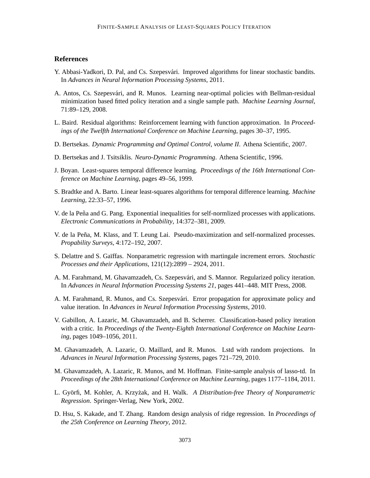## **References**

- Y. Abbasi-Yadkori, D. Pal, and Cs. Szepesvári. Improved algorithms for linear stochastic bandits. In *Advances in Neural Information Processing Systems*, 2011.
- A. Antos, Cs. Szepesvari, and R. Munos. Learning near-optimal policies with Bellman-residual ´ minimization based fitted policy iteration and a single sample path. *Machine Learning Journal*, 71:89–129, 2008.
- L. Baird. Residual algorithms: Reinforcement learning with function approximation. In *Proceedings of the Twelfth International Conference on Machine Learning*, pages 30–37, 1995.
- D. Bertsekas. *Dynamic Programming and Optimal Control, volume II*. Athena Scientific, 2007.
- D. Bertsekas and J. Tsitsiklis. *Neuro-Dynamic Programming*. Athena Scientific, 1996.
- J. Boyan. Least-squares temporal difference learning. *Proceedings of the 16th International Conference on Machine Learning*, pages 49–56, 1999.
- S. Bradtke and A. Barto. Linear least-squares algorithms for temporal difference learning. *Machine Learning*, 22:33–57, 1996.
- V. de la Peña and G. Pang. Exponential inequalities for self-normlized processes with applications. *Electronic Communications in Probability*, 14:372–381, 2009.
- V. de la Peña, M. Klass, and T. Leung Lai. Pseudo-maximization and self-normalized processes. *Propability Surveys*, 4:172–192, 2007.
- S. Delattre and S. Ga¨ıffas. Nonparametric regression with martingale increment errors. *Stochastic Processes and their Applications*, 121(12):2899 – 2924, 2011.
- A. M. Farahmand, M. Ghavamzadeh, Cs. Szepesvári, and S. Mannor. Regularized policy iteration. In *Advances in Neural Information Processing Systems 21*, pages 441–448. MIT Press, 2008.
- A. M. Farahmand, R. Munos, and Cs. Szepesvári. Error propagation for approximate policy and value iteration. In *Advances in Neural Information Processing Systems*, 2010.
- V. Gabillon, A. Lazaric, M. Ghavamzadeh, and B. Scherrer. Classification-based policy iteration with a critic. In *Proceedings of the Twenty-Eighth International Conference on Machine Learning*, pages 1049–1056, 2011.
- M. Ghavamzadeh, A. Lazaric, O. Maillard, and R. Munos. Lstd with random projections. In *Advances in Neural Information Processing Systems*, pages 721–729, 2010.
- M. Ghavamzadeh, A. Lazaric, R. Munos, and M. Hoffman. Finite-sample analysis of lasso-td. In *Proceedings of the 28th International Conference on Machine Learning*, pages 1177–1184, 2011.
- L. Györfi, M. Kohler, A. Krzyżak, and H. Walk. *A Distribution-free Theory of Nonparametric Regression*. Springer-Verlag, New York, 2002.
- D. Hsu, S. Kakade, and T. Zhang. Random design analysis of ridge regression. In *Proceedings of the 25th Conference on Learning Theory*, 2012.